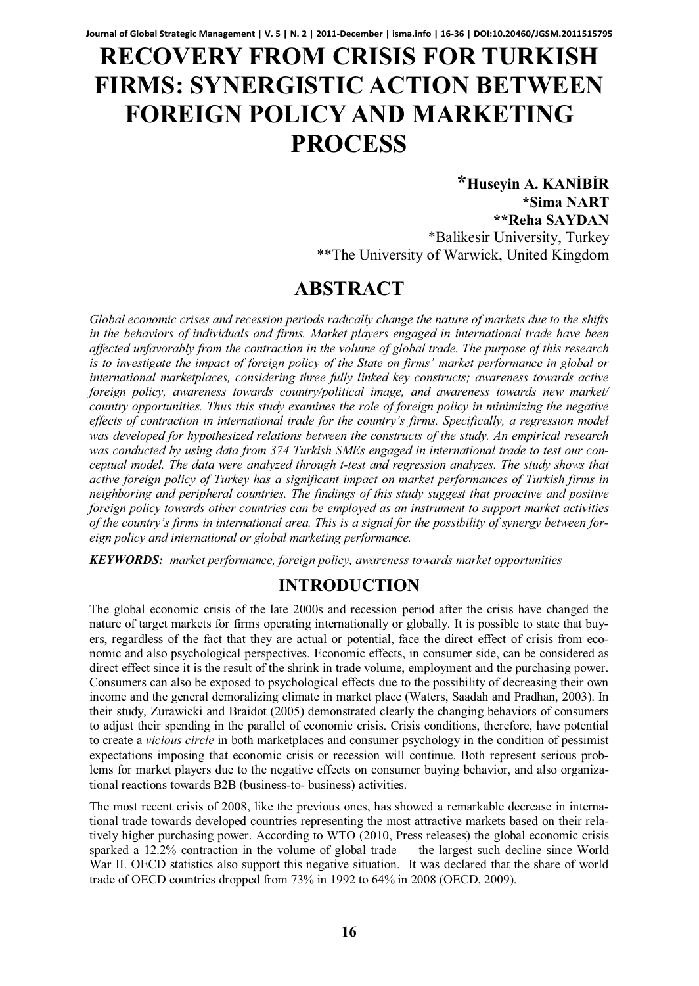# **RECOVERY FROM CRISIS FOR TURKISH FIRMS: SYNERGISTIC ACTION BETWEEN FOREIGN POLICY AND MARKETING PROCESS**

**\*Huseyin A. KANİBİR \*Sima NART \*\*Reha SAYDAN**  \*Balikesir University, Turkey \*\*The University of Warwick, United Kingdom

# **ABSTRACT**

*Global economic crises and recession periods radically change the nature of markets due to the shifts in the behaviors of individuals and firms. Market players engaged in international trade have been affected unfavorably from the contraction in the volume of global trade. The purpose of this research is to investigate the impact of foreign policy of the State on firms' market performance in global or international marketplaces, considering three fully linked key constructs; awareness towards active foreign policy, awareness towards country/political image, and awareness towards new market/ country opportunities. Thus this study examines the role of foreign policy in minimizing the negative effects of contraction in international trade for the country's firms. Specifically, a regression model was developed for hypothesized relations between the constructs of the study. An empirical research was conducted by using data from 374 Turkish SMEs engaged in international trade to test our conceptual model. The data were analyzed through t-test and regression analyzes. The study shows that active foreign policy of Turkey has a significant impact on market performances of Turkish firms in neighboring and peripheral countries. The findings of this study suggest that proactive and positive foreign policy towards other countries can be employed as an instrument to support market activities of the country's firms in international area. This is a signal for the possibility of synergy between foreign policy and international or global marketing performance.* 

*KEYWORDS: market performance, foreign policy, awareness towards market opportunities* 

# **INTRODUCTION**

The global economic crisis of the late 2000s and recession period after the crisis have changed the nature of target markets for firms operating internationally or globally. It is possible to state that buyers, regardless of the fact that they are actual or potential, face the direct effect of crisis from economic and also psychological perspectives. Economic effects, in consumer side, can be considered as direct effect since it is the result of the shrink in trade volume, employment and the purchasing power. Consumers can also be exposed to psychological effects due to the possibility of decreasing their own income and the general demoralizing climate in market place (Waters, Saadah and Pradhan, 2003). In their study, Zurawicki and Braidot (2005) demonstrated clearly the changing behaviors of consumers to adjust their spending in the parallel of economic crisis. Crisis conditions, therefore, have potential to create a *vicious circle* in both marketplaces and consumer psychology in the condition of pessimist expectations imposing that economic crisis or recession will continue. Both represent serious problems for market players due to the negative effects on consumer buying behavior, and also organizational reactions towards B2B (business-to- business) activities.

The most recent crisis of 2008, like the previous ones, has showed a remarkable decrease in international trade towards developed countries representing the most attractive markets based on their relatively higher purchasing power. According to WTO (2010, Press releases) the global economic crisis sparked a 12.2% contraction in the volume of global trade — the largest such decline since World War II. OECD statistics also support this negative situation. It was declared that the share of world trade of OECD countries dropped from 73% in 1992 to 64% in 2008 (OECD, 2009).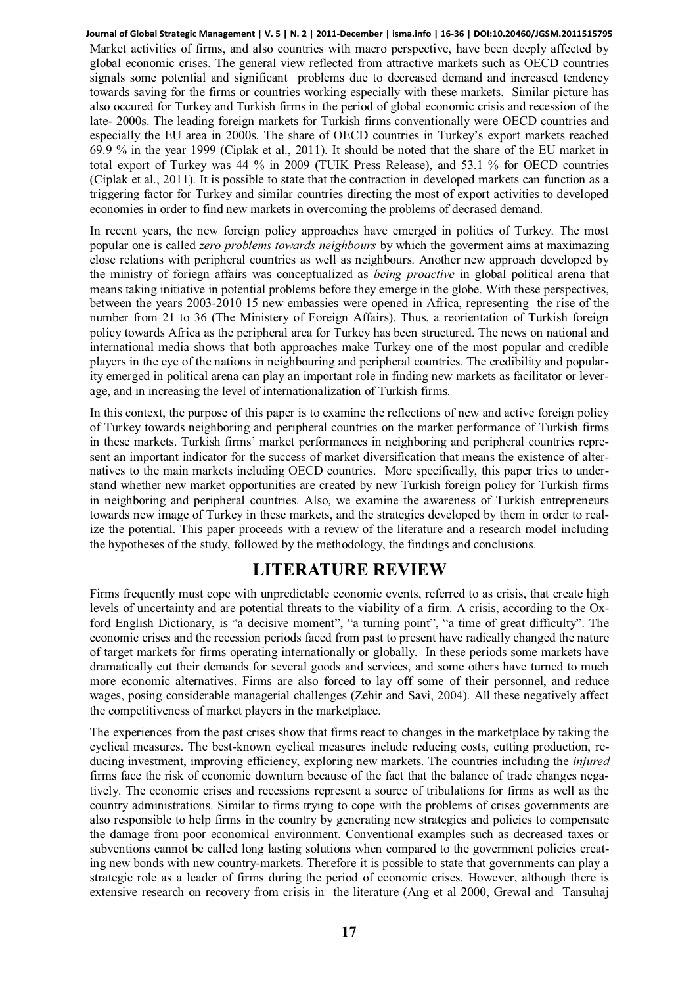Market activities of firms, and also countries with macro perspective, have been deeply affected by global economic crises. The general view reflected from attractive markets such as OECD countries signals some potential and significant problems due to decreased demand and increased tendency towards saving for the firms or countries working especially with these markets. Similar picture has also occured for Turkey and Turkish firms in the period of global economic crisis and recession of the late- 2000s. The leading foreign markets for Turkish firms conventionally were OECD countries and especially the EU area in 2000s. The share of OECD countries in Turkey's export markets reached 69.9 % in the year 1999 (Ciplak et al., 2011). It should be noted that the share of the EU market in total export of Turkey was 44 % in 2009 (TUIK Press Release), and 53.1 % for OECD countries (Ciplak et al., 2011). It is possible to state that the contraction in developed markets can function as a triggering factor for Turkey and similar countries directing the most of export activities to developed economies in order to find new markets in overcoming the problems of decrased demand. **Journal of Global Strategic Management | V. 5 | N. 2 | 2011-December | isma.info | 16-36 | DOI:10.20460/JGSM.2011515795**

In recent years, the new foreign policy approaches have emerged in politics of Turkey. The most popular one is called *zero problems towards neighbours* by which the goverment aims at maximazing close relations with peripheral countries as well as neighbours. Another new approach developed by the ministry of foriegn affairs was conceptualized as *being proactive* in global political arena that means taking initiative in potential problems before they emerge in the globe. With these perspectives, between the years 2003-2010 15 new embassies were opened in Africa, representing the rise of the number from 21 to 36 (The Ministery of Foreign Affairs). Thus, a reorientation of Turkish foreign policy towards Africa as the peripheral area for Turkey has been structured. The news on national and international media shows that both approaches make Turkey one of the most popular and credible players in the eye of the nations in neighbouring and peripheral countries. The credibility and popularity emerged in political arena can play an important role in finding new markets as facilitator or leverage, and in increasing the level of internationalization of Turkish firms.

In this context, the purpose of this paper is to examine the reflections of new and active foreign policy of Turkey towards neighboring and peripheral countries on the market performance of Turkish firms in these markets. Turkish firms' market performances in neighboring and peripheral countries represent an important indicator for the success of market diversification that means the existence of alternatives to the main markets including OECD countries. More specifically, this paper tries to understand whether new market opportunities are created by new Turkish foreign policy for Turkish firms in neighboring and peripheral countries. Also, we examine the awareness of Turkish entrepreneurs towards new image of Turkey in these markets, and the strategies developed by them in order to realize the potential. This paper proceeds with a review of the literature and a research model including the hypotheses of the study, followed by the methodology, the findings and conclusions.

# **LITERATURE REVIEW**

Firms frequently must cope with unpredictable economic events, referred to as crisis, that create high levels of uncertainty and are potential threats to the viability of a firm. A crisis, according to the Oxford English Dictionary, is "a decisive moment", "a turning point", "a time of great difficulty". The economic crises and the recession periods faced from past to present have radically changed the nature of target markets for firms operating internationally or globally. In these periods some markets have dramatically cut their demands for several goods and services, and some others have turned to much more economic alternatives. Firms are also forced to lay off some of their personnel, and reduce wages, posing considerable managerial challenges (Zehir and Savi, 2004). All these negatively affect the competitiveness of market players in the marketplace.

The experiences from the past crises show that firms react to changes in the marketplace by taking the cyclical measures. The best-known cyclical measures include reducing costs, cutting production, reducing investment, improving efficiency, exploring new markets. The countries including the *injured* firms face the risk of economic downturn because of the fact that the balance of trade changes negatively. The economic crises and recessions represent a source of tribulations for firms as well as the country administrations. Similar to firms trying to cope with the problems of crises governments are also responsible to help firms in the country by generating new strategies and policies to compensate the damage from poor economical environment. Conventional examples such as decreased taxes or subventions cannot be called long lasting solutions when compared to the government policies creating new bonds with new country-markets. Therefore it is possible to state that governments can play a strategic role as a leader of firms during the period of economic crises. However, although there is extensive research on recovery from crisis in the literature (Ang et al 2000, Grewal and Tansuhaj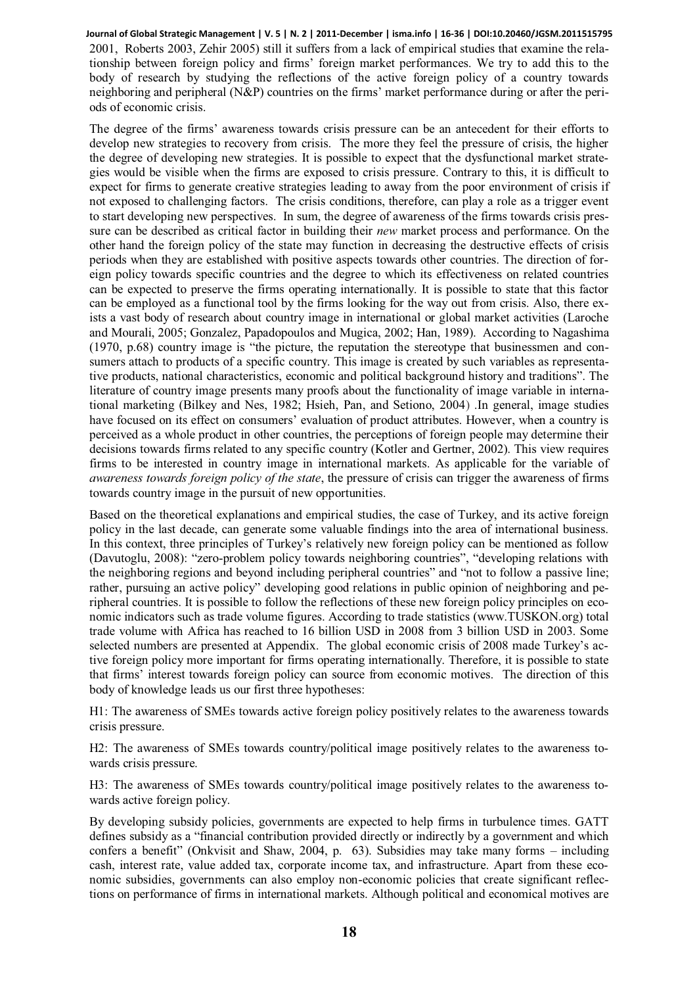2001, Roberts 2003, Zehir 2005) still it suffers from a lack of empirical studies that examine the relationship between foreign policy and firms' foreign market performances. We try to add this to the body of research by studying the reflections of the active foreign policy of a country towards neighboring and peripheral (N&P) countries on the firms' market performance during or after the periods of economic crisis. **Journal of Global Strategic Management | V. 5 | N. 2 | 2011-December | isma.info | 16-36 | DOI:10.20460/JGSM.2011515795**

The degree of the firms' awareness towards crisis pressure can be an antecedent for their efforts to develop new strategies to recovery from crisis. The more they feel the pressure of crisis, the higher the degree of developing new strategies. It is possible to expect that the dysfunctional market strategies would be visible when the firms are exposed to crisis pressure. Contrary to this, it is difficult to expect for firms to generate creative strategies leading to away from the poor environment of crisis if not exposed to challenging factors. The crisis conditions, therefore, can play a role as a trigger event to start developing new perspectives. In sum, the degree of awareness of the firms towards crisis pressure can be described as critical factor in building their *new* market process and performance. On the other hand the foreign policy of the state may function in decreasing the destructive effects of crisis periods when they are established with positive aspects towards other countries. The direction of foreign policy towards specific countries and the degree to which its effectiveness on related countries can be expected to preserve the firms operating internationally. It is possible to state that this factor can be employed as a functional tool by the firms looking for the way out from crisis. Also, there exists a vast body of research about country image in international or global market activities (Laroche and Mourali, 2005; Gonzalez, Papadopoulos and Mugica, 2002; Han, 1989). According to Nagashima (1970, p.68) country image is "the picture, the reputation the stereotype that businessmen and consumers attach to products of a specific country. This image is created by such variables as representative products, national characteristics, economic and political background history and traditions". The literature of country image presents many proofs about the functionality of image variable in international marketing (Bilkey and Nes, 1982; Hsieh, Pan, and Setiono, 2004) .In general, image studies have focused on its effect on consumers' evaluation of product attributes. However, when a country is perceived as a whole product in other countries, the perceptions of foreign people may determine their decisions towards firms related to any specific country (Kotler and Gertner, 2002). This view requires firms to be interested in country image in international markets. As applicable for the variable of *awareness towards foreign policy of the state*, the pressure of crisis can trigger the awareness of firms towards country image in the pursuit of new opportunities.

Based on the theoretical explanations and empirical studies, the case of Turkey, and its active foreign policy in the last decade, can generate some valuable findings into the area of international business. In this context, three principles of Turkey's relatively new foreign policy can be mentioned as follow (Davutoglu, 2008): "zero-problem policy towards neighboring countries", "developing relations with the neighboring regions and beyond including peripheral countries" and "not to follow a passive line; rather, pursuing an active policy" developing good relations in public opinion of neighboring and peripheral countries. It is possible to follow the reflections of these new foreign policy principles on economic indicators such as trade volume figures. According to trade statistics (www.TUSKON.org) total trade volume with Africa has reached to 16 billion USD in 2008 from 3 billion USD in 2003. Some selected numbers are presented at Appendix. The global economic crisis of 2008 made Turkey's active foreign policy more important for firms operating internationally. Therefore, it is possible to state that firms' interest towards foreign policy can source from economic motives. The direction of this body of knowledge leads us our first three hypotheses:

H1: The awareness of SMEs towards active foreign policy positively relates to the awareness towards crisis pressure.

H2: The awareness of SMEs towards country/political image positively relates to the awareness towards crisis pressure.

H3: The awareness of SMEs towards country/political image positively relates to the awareness towards active foreign policy.

By developing subsidy policies, governments are expected to help firms in turbulence times. GATT defines subsidy as a "financial contribution provided directly or indirectly by a government and which confers a benefit" (Onkvisit and Shaw, 2004, p. 63). Subsidies may take many forms – including cash, interest rate, value added tax, corporate income tax, and infrastructure. Apart from these economic subsidies, governments can also employ non-economic policies that create significant reflections on performance of firms in international markets. Although political and economical motives are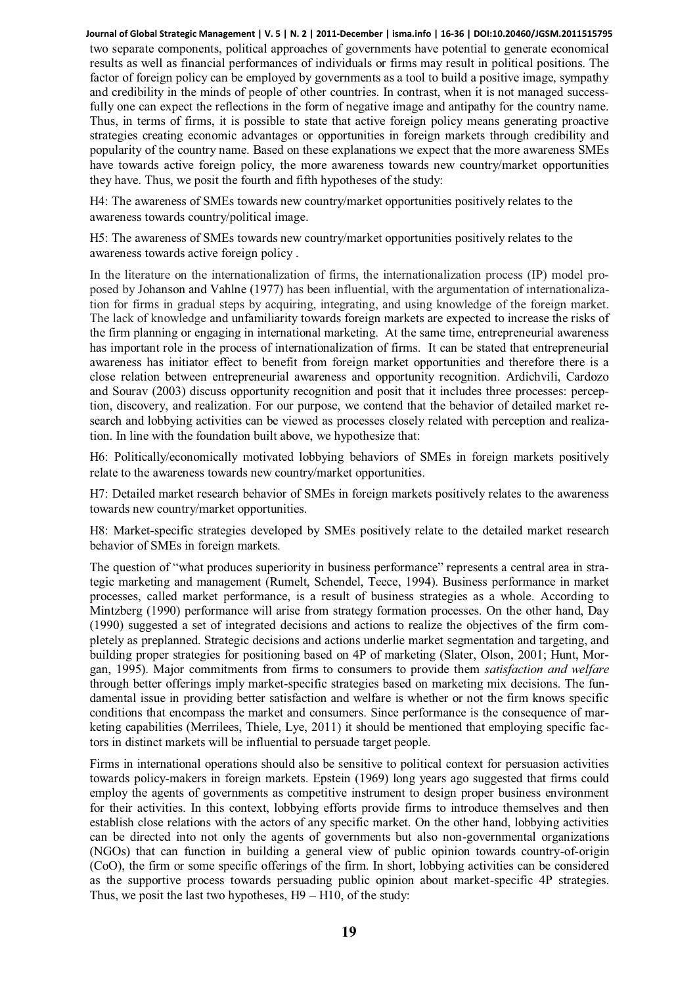two separate components, political approaches of governments have potential to generate economical results as well as financial performances of individuals or firms may result in political positions. The factor of foreign policy can be employed by governments as a tool to build a positive image, sympathy and credibility in the minds of people of other countries. In contrast, when it is not managed successfully one can expect the reflections in the form of negative image and antipathy for the country name. Thus, in terms of firms, it is possible to state that active foreign policy means generating proactive strategies creating economic advantages or opportunities in foreign markets through credibility and popularity of the country name. Based on these explanations we expect that the more awareness SMEs have towards active foreign policy, the more awareness towards new country/market opportunities they have. Thus, we posit the fourth and fifth hypotheses of the study: **Journal of Global Strategic Management | V. 5 | N. 2 | 2011-December | isma.info | 16-36 | DOI:10.20460/JGSM.2011515795**

H4: The awareness of SMEs towards new country/market opportunities positively relates to the awareness towards country/political image.

H5: The awareness of SMEs towards new country/market opportunities positively relates to the awareness towards active foreign policy .

In the literature on the internationalization of firms, the internationalization process (IP) model proposed by Johanson and Vahlne (1977) has been influential, with the argumentation of internationalization for firms in gradual steps by acquiring, integrating, and using knowledge of the foreign market. The lack of knowledge and unfamiliarity towards foreign markets are expected to increase the risks of the firm planning or engaging in international marketing. At the same time, entrepreneurial awareness has important role in the process of internationalization of firms. It can be stated that entrepreneurial awareness has initiator effect to benefit from foreign market opportunities and therefore there is a close relation between entrepreneurial awareness and opportunity recognition. Ardichvili, Cardozo and Sourav (2003) discuss opportunity recognition and posit that it includes three processes: perception, discovery, and realization. For our purpose, we contend that the behavior of detailed market research and lobbying activities can be viewed as processes closely related with perception and realization. In line with the foundation built above, we hypothesize that:

H6: Politically/economically motivated lobbying behaviors of SMEs in foreign markets positively relate to the awareness towards new country/market opportunities.

H7: Detailed market research behavior of SMEs in foreign markets positively relates to the awareness towards new country/market opportunities.

H8: Market-specific strategies developed by SMEs positively relate to the detailed market research behavior of SMEs in foreign markets.

The question of "what produces superiority in business performance" represents a central area in strategic marketing and management (Rumelt, Schendel, Teece, 1994). Business performance in market processes, called market performance, is a result of business strategies as a whole. According to Mintzberg (1990) performance will arise from strategy formation processes. On the other hand, Day (1990) suggested a set of integrated decisions and actions to realize the objectives of the firm completely as preplanned. Strategic decisions and actions underlie market segmentation and targeting, and building proper strategies for positioning based on 4P of marketing (Slater, Olson, 2001; Hunt, Morgan, 1995). Major commitments from firms to consumers to provide them *satisfaction and welfare* through better offerings imply market-specific strategies based on marketing mix decisions. The fundamental issue in providing better satisfaction and welfare is whether or not the firm knows specific conditions that encompass the market and consumers. Since performance is the consequence of marketing capabilities (Merrilees, Thiele, Lye, 2011) it should be mentioned that employing specific factors in distinct markets will be influential to persuade target people.

Firms in international operations should also be sensitive to political context for persuasion activities towards policy-makers in foreign markets. Epstein (1969) long years ago suggested that firms could employ the agents of governments as competitive instrument to design proper business environment for their activities. In this context, lobbying efforts provide firms to introduce themselves and then establish close relations with the actors of any specific market. On the other hand, lobbying activities can be directed into not only the agents of governments but also non-governmental organizations (NGOs) that can function in building a general view of public opinion towards country-of-origin (CoO), the firm or some specific offerings of the firm. In short, lobbying activities can be considered as the supportive process towards persuading public opinion about market-specific 4P strategies. Thus, we posit the last two hypotheses,  $H9 - H10$ , of the study: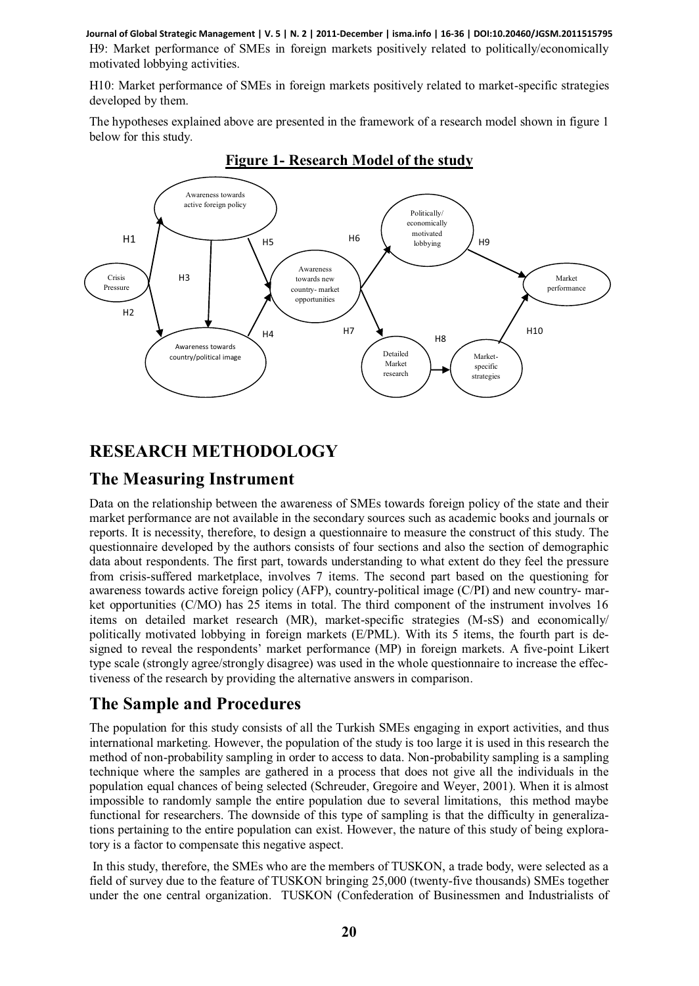H9: Market performance of SMEs in foreign markets positively related to politically/economically motivated lobbying activities. **Journal of Global Strategic Management | V. 5 | N. 2 | 2011-December | isma.info | 16-36 | DOI:10.20460/JGSM.2011515795**

H10: Market performance of SMEs in foreign markets positively related to market-specific strategies developed by them.

The hypotheses explained above are presented in the framework of a research model shown in figure 1 below for this study.





# **RESEARCH METHODOLOGY**

# **The Measuring Instrument**

Data on the relationship between the awareness of SMEs towards foreign policy of the state and their market performance are not available in the secondary sources such as academic books and journals or reports. It is necessity, therefore, to design a questionnaire to measure the construct of this study. The questionnaire developed by the authors consists of four sections and also the section of demographic data about respondents. The first part, towards understanding to what extent do they feel the pressure from crisis-suffered marketplace, involves 7 items. The second part based on the questioning for awareness towards active foreign policy (AFP), country-political image (C/PI) and new country- market opportunities (C/MO) has 25 items in total. The third component of the instrument involves 16 items on detailed market research (MR), market-specific strategies (M-sS) and economically/ politically motivated lobbying in foreign markets (E/PML). With its 5 items, the fourth part is designed to reveal the respondents' market performance (MP) in foreign markets. A five-point Likert type scale (strongly agree/strongly disagree) was used in the whole questionnaire to increase the effectiveness of the research by providing the alternative answers in comparison.

# **The Sample and Procedures**

The population for this study consists of all the Turkish SMEs engaging in export activities, and thus international marketing. However, the population of the study is too large it is used in this research the method of non-probability sampling in order to access to data. Non-probability sampling is a sampling technique where the samples are gathered in a process that does not give all the individuals in the population equal chances of being selected (Schreuder, Gregoire and Weyer, 2001). When it is almost impossible to randomly sample the entire population due to several limitations, this method maybe functional for researchers. The downside of this type of sampling is that the difficulty in generalizations pertaining to the entire population can exist. However, the nature of this study of being exploratory is a factor to compensate this negative aspect.

 In this study, therefore, the SMEs who are the members of TUSKON, a trade body, were selected as a field of survey due to the feature of TUSKON bringing 25,000 (twenty-five thousands) SMEs together under the one central organization. TUSKON (Confederation of Businessmen and Industrialists of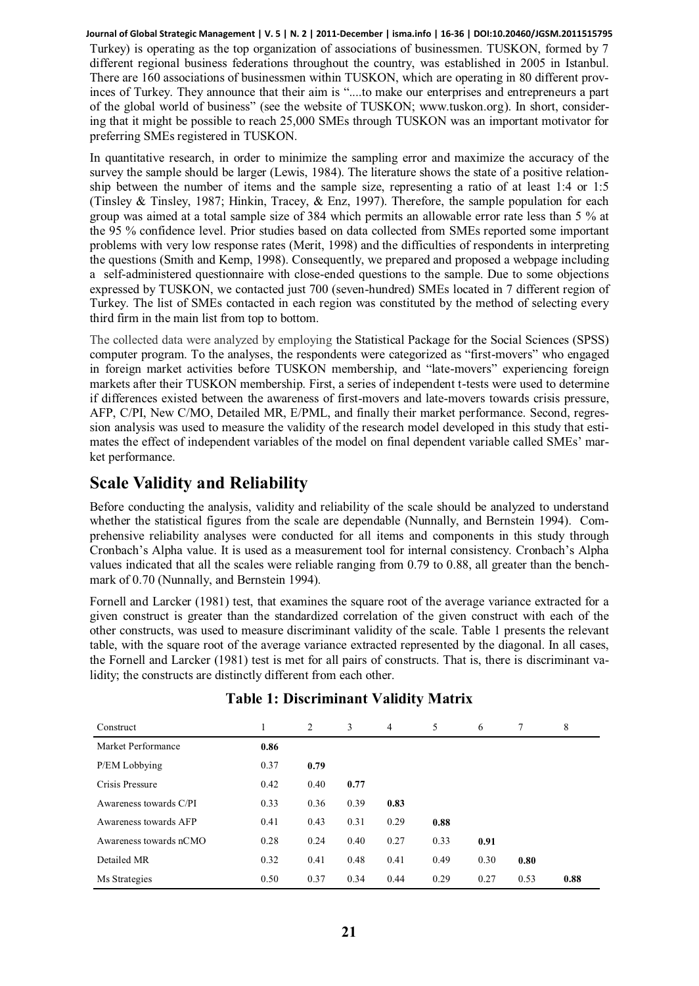Turkey) is operating as the top organization of associations of businessmen. TUSKON, formed by 7 different regional business federations throughout the country, was established in 2005 in Istanbul. There are 160 associations of businessmen within TUSKON, which are operating in 80 different provinces of Turkey. They announce that their aim is "....to make our enterprises and entrepreneurs a part of the global world of business" (see the website of TUSKON; www.tuskon.org). In short, considering that it might be possible to reach 25,000 SMEs through TUSKON was an important motivator for preferring SMEs registered in TUSKON. **Journal of Global Strategic Management | V. 5 | N. 2 | 2011-December | isma.info | 16-36 | DOI:10.20460/JGSM.2011515795**

In quantitative research, in order to minimize the sampling error and maximize the accuracy of the survey the sample should be larger (Lewis, 1984). The literature shows the state of a positive relationship between the number of items and the sample size, representing a ratio of at least 1:4 or 1:5 (Tinsley & Tinsley, 1987; Hinkin, Tracey, & Enz, 1997). Therefore, the sample population for each group was aimed at a total sample size of 384 which permits an allowable error rate less than 5 % at the 95 % confidence level. Prior studies based on data collected from SMEs reported some important problems with very low response rates (Merit, 1998) and the difficulties of respondents in interpreting the questions (Smith and Kemp, 1998). Consequently, we prepared and proposed a webpage including a self-administered questionnaire with close-ended questions to the sample. Due to some objections expressed by TUSKON, we contacted just 700 (seven-hundred) SMEs located in 7 different region of Turkey. The list of SMEs contacted in each region was constituted by the method of selecting every third firm in the main list from top to bottom.

The collected data were analyzed by employing the Statistical Package for the Social Sciences (SPSS) computer program. To the analyses, the respondents were categorized as "first-movers" who engaged in foreign market activities before TUSKON membership, and "late-movers" experiencing foreign markets after their TUSKON membership. First, a series of independent t-tests were used to determine if differences existed between the awareness of first-movers and late-movers towards crisis pressure, AFP, C/PI, New C/MO, Detailed MR, E/PML, and finally their market performance. Second, regression analysis was used to measure the validity of the research model developed in this study that estimates the effect of independent variables of the model on final dependent variable called SMEs' market performance.

# **Scale Validity and Reliability**

Before conducting the analysis, validity and reliability of the scale should be analyzed to understand whether the statistical figures from the scale are dependable (Nunnally, and Bernstein 1994). Comprehensive reliability analyses were conducted for all items and components in this study through Cronbach's Alpha value. It is used as a measurement tool for internal consistency. Cronbach's Alpha values indicated that all the scales were reliable ranging from 0.79 to 0.88, all greater than the benchmark of 0.70 (Nunnally, and Bernstein 1994).

Fornell and Larcker (1981) test, that examines the square root of the average variance extracted for a given construct is greater than the standardized correlation of the given construct with each of the other constructs, was used to measure discriminant validity of the scale. Table 1 presents the relevant table, with the square root of the average variance extracted represented by the diagonal. In all cases, the Fornell and Larcker (1981) test is met for all pairs of constructs. That is, there is discriminant validity; the constructs are distinctly different from each other.

| Construct              |      | 2    | 3    | $\overline{4}$ | 5    | 6    | 7    | 8    |
|------------------------|------|------|------|----------------|------|------|------|------|
| Market Performance     | 0.86 |      |      |                |      |      |      |      |
| P/EM Lobbying          | 0.37 | 0.79 |      |                |      |      |      |      |
| Crisis Pressure        | 0.42 | 0.40 | 0.77 |                |      |      |      |      |
| Awareness towards C/PI | 0.33 | 0.36 | 0.39 | 0.83           |      |      |      |      |
| Awareness towards AFP  | 0.41 | 0.43 | 0.31 | 0.29           | 0.88 |      |      |      |
| Awareness towards nCMO | 0.28 | 0.24 | 0.40 | 0.27           | 0.33 | 0.91 |      |      |
| Detailed MR            | 0.32 | 0.41 | 0.48 | 0.41           | 0.49 | 0.30 | 0.80 |      |
| Ms Strategies          | 0.50 | 0.37 | 0.34 | 0.44           | 0.29 | 0.27 | 0.53 | 0.88 |

## **Table 1: Discriminant Validity Matrix**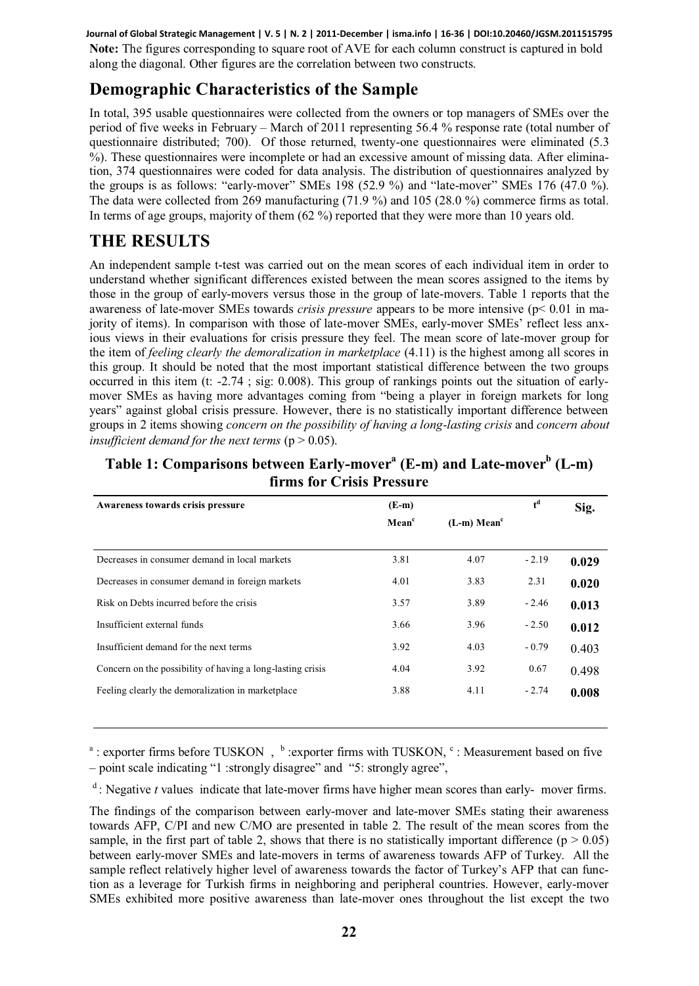**Note:** The figures corresponding to square root of AVE for each column construct is captured in bold along the diagonal. Other figures are the correlation between two constructs. **Journal of Global Strategic Management | V. 5 | N. 2 | 2011-December | isma.info | 16-36 | DOI:10.20460/JGSM.2011515795**

# **Demographic Characteristics of the Sample**

In total, 395 usable questionnaires were collected from the owners or top managers of SMEs over the period of five weeks in February – March of 2011 representing 56.4 % response rate (total number of questionnaire distributed; 700). Of those returned, twenty-one questionnaires were eliminated (5.3 %). These questionnaires were incomplete or had an excessive amount of missing data. After elimination, 374 questionnaires were coded for data analysis. The distribution of questionnaires analyzed by the groups is as follows: "early-mover" SMEs 198 (52.9 %) and "late-mover" SMEs 176 (47.0 %). The data were collected from 269 manufacturing (71.9 %) and 105 (28.0 %) commerce firms as total. In terms of age groups, majority of them (62 %) reported that they were more than 10 years old.

# **THE RESULTS**

An independent sample t-test was carried out on the mean scores of each individual item in order to understand whether significant differences existed between the mean scores assigned to the items by those in the group of early-movers versus those in the group of late-movers. Table 1 reports that the awareness of late-mover SMEs towards *crisis pressure* appears to be more intensive (p< 0.01 in majority of items). In comparison with those of late-mover SMEs, early-mover SMEs' reflect less anxious views in their evaluations for crisis pressure they feel. The mean score of late-mover group for the item of *feeling clearly the demoralization in marketplace* (4.11) is the highest among all scores in this group. It should be noted that the most important statistical difference between the two groups occurred in this item (t: -2.74 ; sig: 0.008). This group of rankings points out the situation of earlymover SMEs as having more advantages coming from "being a player in foreign markets for long years" against global crisis pressure. However, there is no statistically important difference between groups in 2 items showing *concern on the possibility of having a long-lasting crisis* and *concern about insufficient demand for the next terms* ( $p > 0.05$ ).

| Awareness towards crisis pressure                          | $(E-m)$           |                           | $t^d$   | Sig.  |
|------------------------------------------------------------|-------------------|---------------------------|---------|-------|
|                                                            | Mean <sup>c</sup> | $(L-m)$ Mean <sup>c</sup> |         |       |
| Decreases in consumer demand in local markets              | 3.81              | 4.07                      | $-2.19$ | 0.029 |
| Decreases in consumer demand in foreign markets            | 4.01              | 3.83                      | 2.31    | 0.020 |
| Risk on Debts incurred before the crisis                   | 3.57              | 3.89                      | $-2.46$ | 0.013 |
| Insufficient external funds                                | 3.66              | 3.96                      | $-2.50$ | 0.012 |
| Insufficient demand for the next terms                     | 3.92              | 4.03                      | $-0.79$ | 0.403 |
| Concern on the possibility of having a long-lasting crisis | 4.04              | 3.92                      | 0.67    | 0.498 |
| Feeling clearly the demoralization in marketplace          | 3.88              | 4.11                      | $-2.74$ | 0.008 |

## Table 1: Comparisons between Early-mover<sup>a</sup> (E-m) and Late-mover<sup>b</sup> (L-m) **firms for Crisis Pressure**

<sup>d</sup>: Negative *t* values indicate that late-mover firms have higher mean scores than early- mover firms.

<sup>&</sup>lt;sup>a</sup> : exporter firms before TUSKON, b : exporter firms with TUSKON, c : Measurement based on five – point scale indicating "1 :strongly disagree" and "5: strongly agree",

The findings of the comparison between early-mover and late-mover SMEs stating their awareness towards AFP, C/PI and new C/MO are presented in table 2. The result of the mean scores from the sample, in the first part of table 2, shows that there is no statistically important difference ( $p > 0.05$ ) between early-mover SMEs and late-movers in terms of awareness towards AFP of Turkey. All the sample reflect relatively higher level of awareness towards the factor of Turkey's AFP that can function as a leverage for Turkish firms in neighboring and peripheral countries. However, early-mover SMEs exhibited more positive awareness than late-mover ones throughout the list except the two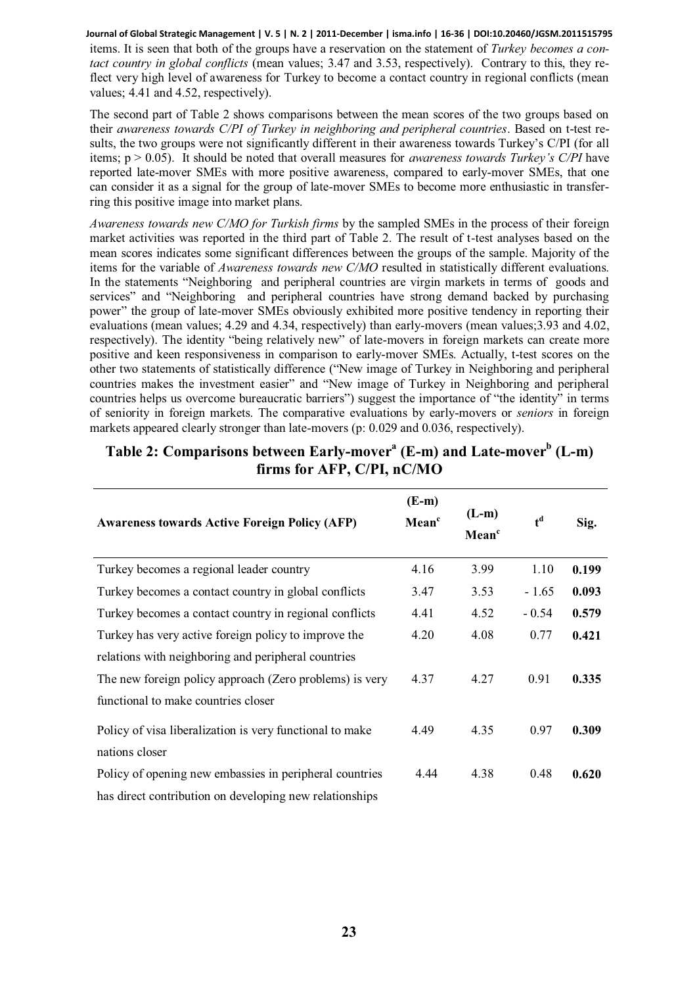items. It is seen that both of the groups have a reservation on the statement of *Turkey becomes a contact country in global conflicts* (mean values; 3.47 and 3.53, respectively). Contrary to this, they reflect very high level of awareness for Turkey to become a contact country in regional conflicts (mean values; 4.41 and 4.52, respectively). **Journal of Global Strategic Management | V. 5 | N. 2 | 2011-December | isma.info | 16-36 | DOI:10.20460/JGSM.2011515795**

The second part of Table 2 shows comparisons between the mean scores of the two groups based on their *awareness towards C/PI of Turkey in neighboring and peripheral countries*. Based on t-test results, the two groups were not significantly different in their awareness towards Turkey's C/PI (for all items; p > 0.05). It should be noted that overall measures for *awareness towards Turkey's C/PI* have reported late-mover SMEs with more positive awareness, compared to early-mover SMEs, that one can consider it as a signal for the group of late-mover SMEs to become more enthusiastic in transferring this positive image into market plans.

*Awareness towards new C/MO for Turkish firms* by the sampled SMEs in the process of their foreign market activities was reported in the third part of Table 2. The result of t-test analyses based on the mean scores indicates some significant differences between the groups of the sample. Majority of the items for the variable of *Awareness towards new C/MO* resulted in statistically different evaluations. In the statements "Neighboring and peripheral countries are virgin markets in terms of goods and services" and "Neighboring and peripheral countries have strong demand backed by purchasing power" the group of late-mover SMEs obviously exhibited more positive tendency in reporting their evaluations (mean values; 4.29 and 4.34, respectively) than early-movers (mean values;3.93 and 4.02, respectively). The identity "being relatively new" of late-movers in foreign markets can create more positive and keen responsiveness in comparison to early-mover SMEs. Actually, t-test scores on the other two statements of statistically difference ("New image of Turkey in Neighboring and peripheral countries makes the investment easier" and "New image of Turkey in Neighboring and peripheral countries helps us overcome bureaucratic barriers") suggest the importance of "the identity" in terms of seniority in foreign markets. The comparative evaluations by early-movers or *seniors* in foreign markets appeared clearly stronger than late-movers (p: 0.029 and 0.036, respectively).

| <b>Awareness towards Active Foreign Policy (AFP)</b>     | $(E-m)$<br>Mean <sup>c</sup> | $(L-m)$<br>Mean <sup>c</sup> | $t^d$   | Sig.  |
|----------------------------------------------------------|------------------------------|------------------------------|---------|-------|
| Turkey becomes a regional leader country                 | 4.16                         | 3.99                         | 1.10    | 0.199 |
| Turkey becomes a contact country in global conflicts     | 3.47                         | 3.53                         | $-1.65$ | 0.093 |
| Turkey becomes a contact country in regional conflicts   | 4.41                         | 4.52                         | $-0.54$ | 0.579 |
| Turkey has very active foreign policy to improve the     | 4.20                         | 4.08                         | 0.77    | 0.421 |
| relations with neighboring and peripheral countries      |                              |                              |         |       |
| The new foreign policy approach (Zero problems) is very  | 4.37                         | 4.27                         | 0.91    | 0.335 |
| functional to make countries closer                      |                              |                              |         |       |
| Policy of visa liberalization is very functional to make | 4.49                         | 4.35                         | 0.97    | 0.309 |
| nations closer                                           |                              |                              |         |       |
| Policy of opening new embassies in peripheral countries  | 4.44                         | 4.38                         | 0.48    | 0.620 |
| has direct contribution on developing new relationships  |                              |                              |         |       |

## Table 2: Comparisons between Early-mover<sup>a</sup> (E-m) and Late-mover<sup>b</sup> (L-m) **firms for AFP, C/PI, nC/MO**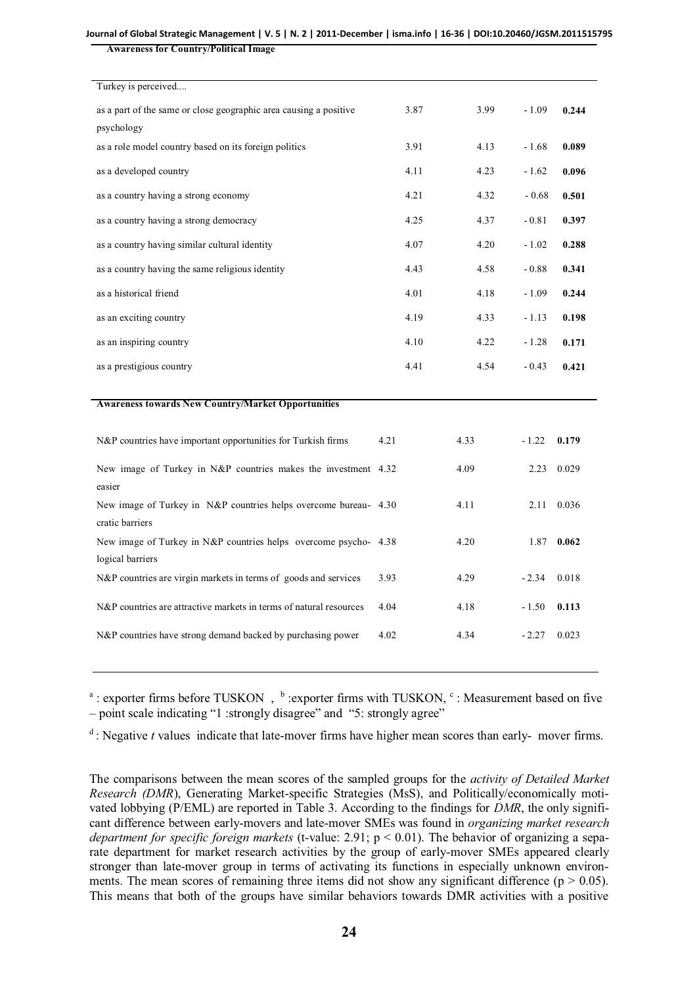#### **Awareness for Country/Political Image Journal of Global Strategic Management | V. 5 | N. 2 | 2011-December | isma.info | 16-36 | DOI:10.20460/JGSM.2011515795**

| Turkey is perceived                                                                  |      |      |         |       |
|--------------------------------------------------------------------------------------|------|------|---------|-------|
| as a part of the same or close geographic area causing a positive                    | 3.87 | 3.99 | $-1.09$ | 0.244 |
| psychology                                                                           |      |      |         |       |
| as a role model country based on its foreign politics                                | 3.91 | 4.13 | $-1.68$ | 0.089 |
| as a developed country                                                               | 4.11 | 4.23 | $-1.62$ | 0.096 |
| as a country having a strong economy                                                 | 4.21 | 4.32 | $-0.68$ | 0.501 |
| as a country having a strong democracy                                               | 4.25 | 4.37 | $-0.81$ | 0.397 |
| as a country having similar cultural identity                                        | 4.07 | 4.20 | $-1.02$ | 0.288 |
| as a country having the same religious identity                                      | 4.43 | 4.58 | $-0.88$ | 0.341 |
| as a historical friend                                                               | 4.01 | 4.18 | $-1.09$ | 0.244 |
| as an exciting country                                                               | 4.19 | 4.33 | $-1.13$ | 0.198 |
| as an inspiring country                                                              | 4.10 | 4.22 | $-1.28$ | 0.171 |
| as a prestigious country                                                             | 4.41 | 4.54 | $-0.43$ | 0.421 |
|                                                                                      |      |      |         |       |
| <b>Awareness towards New Country/Market Opportunities</b>                            |      |      |         |       |
| N&P countries have important opportunities for Turkish firms                         | 4.21 | 4.33 | $-1.22$ | 0.179 |
| New image of Turkey in N&P countries makes the investment 4.32<br>easier             |      | 4.09 | 2.23    | 0.029 |
| New image of Turkey in N&P countries helps overcome bureau- 4.30<br>cratic barriers  |      | 4.11 | 2.11    | 0.036 |
| New image of Turkey in N&P countries helps overcome psycho- 4.38<br>logical barriers |      | 4.20 | 1.87    | 0.062 |
| N&P countries are virgin markets in terms of goods and services                      | 3.93 | 4.29 | $-2.34$ | 0.018 |
| N&P countries are attractive markets in terms of natural resources                   | 4.04 | 4.18 | $-1.50$ | 0.113 |
| N&P countries have strong demand backed by purchasing power                          | 4.02 | 4.34 | $-2.27$ | 0.023 |

<sup>a</sup> : exporter firms before TUSKON, b : exporter firms with TUSKON, c : Measurement based on five – point scale indicating "1 :strongly disagree" and "5: strongly agree"

<sup>d</sup>: Negative *t* values indicate that late-mover firms have higher mean scores than early- mover firms.

The comparisons between the mean scores of the sampled groups for the *activity of Detailed Market Research (DMR*), Generating Market-specific Strategies (MsS), and Politically/economically motivated lobbying (P/EML) are reported in Table 3. According to the findings for *DMR*, the only significant difference between early-movers and late-mover SMEs was found in *organizing market research department for specific foreign markets* (t-value: 2.91; p < 0.01). The behavior of organizing a separate department for market research activities by the group of early-mover SMEs appeared clearly stronger than late-mover group in terms of activating its functions in especially unknown environments. The mean scores of remaining three items did not show any significant difference ( $p > 0.05$ ). This means that both of the groups have similar behaviors towards DMR activities with a positive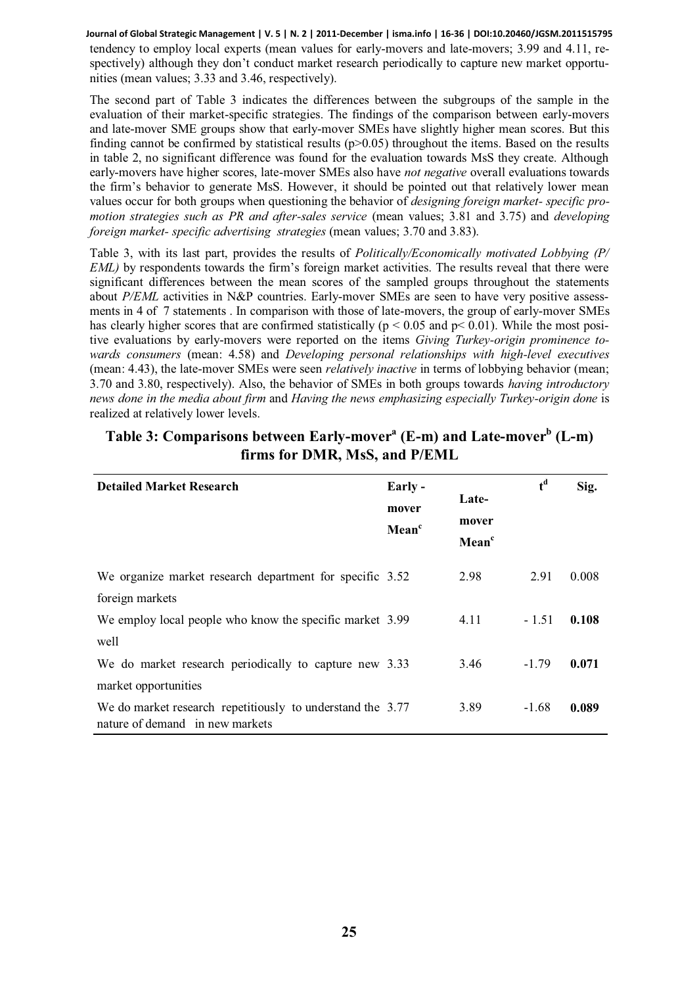tendency to employ local experts (mean values for early-movers and late-movers; 3.99 and 4.11, respectively) although they don't conduct market research periodically to capture new market opportunities (mean values; 3.33 and 3.46, respectively). **Journal of Global Strategic Management | V. 5 | N. 2 | 2011-December | isma.info | 16-36 | DOI:10.20460/JGSM.2011515795**

The second part of Table 3 indicates the differences between the subgroups of the sample in the evaluation of their market-specific strategies. The findings of the comparison between early-movers and late-mover SME groups show that early-mover SMEs have slightly higher mean scores. But this finding cannot be confirmed by statistical results  $(p>0.05)$  throughout the items. Based on the results in table 2, no significant difference was found for the evaluation towards MsS they create. Although early-movers have higher scores, late-mover SMEs also have *not negative* overall evaluations towards the firm's behavior to generate MsS. However, it should be pointed out that relatively lower mean values occur for both groups when questioning the behavior of *designing foreign market- specific promotion strategies such as PR and after-sales service* (mean values; 3.81 and 3.75) and *developing foreign market- specific advertising strategies* (mean values; 3.70 and 3.83).

Table 3, with its last part, provides the results of *Politically/Economically motivated Lobbying (P/ EML*) by respondents towards the firm's foreign market activities. The results reveal that there were significant differences between the mean scores of the sampled groups throughout the statements about *P/EML* activities in N&P countries. Early-mover SMEs are seen to have very positive assessments in 4 of 7 statements . In comparison with those of late-movers, the group of early-mover SMEs has clearly higher scores that are confirmed statistically ( $p < 0.05$  and  $p < 0.01$ ). While the most positive evaluations by early-movers were reported on the items *Giving Turkey-origin prominence towards consumers* (mean: 4.58) and *Developing personal relationships with high-level executives*  (mean: 4.43), the late-mover SMEs were seen *relatively inactive* in terms of lobbying behavior (mean; 3.70 and 3.80, respectively). Also, the behavior of SMEs in both groups towards *having introductory news done in the media about firm* and *Having the news emphasizing especially Turkey-origin done* is realized at relatively lower levels.

| <b>Detailed Market Research</b>                                                               | Early -<br>mover<br>Mean <sup>c</sup> | Late-<br>mover<br>Mean <sup>c</sup> | $t^d$   | Sig.  |
|-----------------------------------------------------------------------------------------------|---------------------------------------|-------------------------------------|---------|-------|
| We organize market research department for specific 3.52                                      |                                       | 2.98                                | 2.91    | 0.008 |
| foreign markets<br>We employ local people who know the specific market 3.99                   |                                       | 4.11                                | $-1.51$ | 0.108 |
| well                                                                                          |                                       |                                     |         |       |
| We do market research periodically to capture new 3.33<br>market opportunities                |                                       | 3.46                                | $-1.79$ | 0.071 |
| We do market research repetitiously to understand the 3.77<br>nature of demand in new markets |                                       | 3.89                                | $-1.68$ | 0.089 |

## Table 3: Comparisons between Early-mover<sup>a</sup> (E-m) and Late-mover<sup>b</sup> (L-m) **firms for DMR, MsS, and P/EML**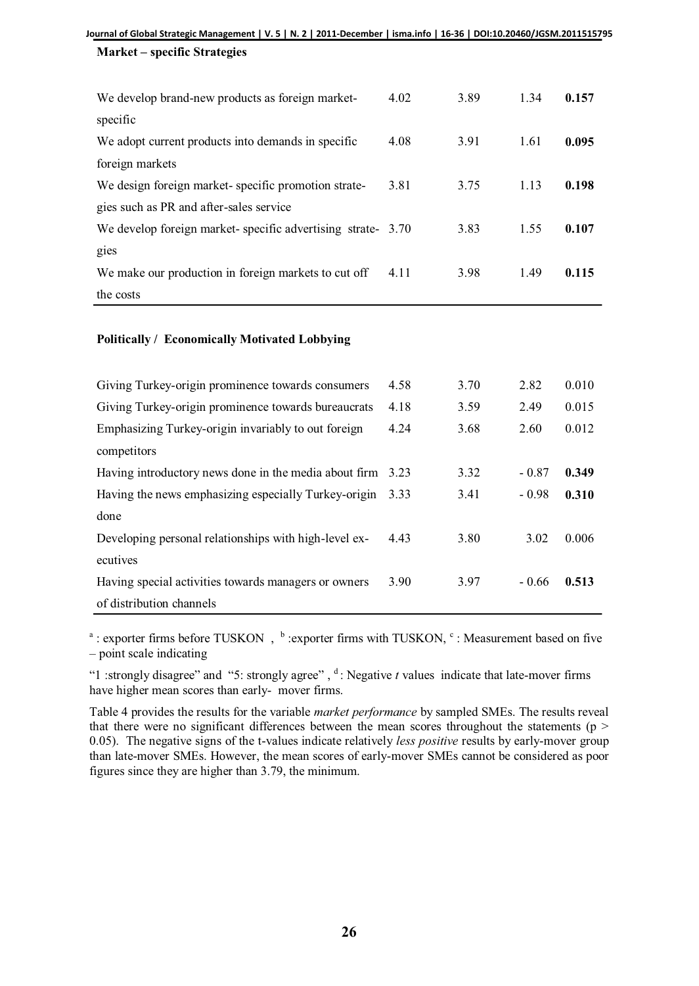#### **Journal of Global Strategic Management | V. 5 | N. 2 | 2011-December | isma.info | 16-36 | DOI:10.20460/JGSM.2011515795**

#### **Market – specific Strategies**

| We develop brand-new products as foreign market-           | 4.02 | 3.89 | 1.34 | 0.157 |
|------------------------------------------------------------|------|------|------|-------|
| specific                                                   |      |      |      |       |
| We adopt current products into demands in specific         | 4.08 | 3.91 | 1.61 | 0.095 |
| foreign markets                                            |      |      |      |       |
| We design foreign market-specific promotion strate-        | 3.81 | 3.75 | 1.13 | 0.198 |
| gies such as PR and after-sales service                    |      |      |      |       |
| We develop foreign market-specific advertising strate 3.70 |      | 3.83 | 1.55 | 0.107 |
| gies                                                       |      |      |      |       |
| We make our production in foreign markets to cut off       | 4.11 | 3.98 | 1.49 | 0.115 |
| the costs                                                  |      |      |      |       |

#### **Politically / Economically Motivated Lobbying**

| Giving Turkey-origin prominence towards consumers            | 4.58 | 3.70 | 2.82    | 0.010 |
|--------------------------------------------------------------|------|------|---------|-------|
| Giving Turkey-origin prominence towards bureaucrats          | 4.18 | 3.59 | 2.49    | 0.015 |
| Emphasizing Turkey-origin invariably to out foreign          | 4.24 | 3.68 | 2.60    | 0.012 |
| competitors                                                  |      |      |         |       |
| Having introductory news done in the media about firm $3.23$ |      | 3.32 | $-0.87$ | 0.349 |
| Having the news emphasizing especially Turkey-origin         | 3.33 | 3.41 | $-0.98$ | 0.310 |
| done                                                         |      |      |         |       |
| Developing personal relationships with high-level ex-        | 4.43 | 3.80 | 3.02    | 0.006 |
| ecutives                                                     |      |      |         |       |
| Having special activities towards managers or owners         | 3.90 | 3.97 | $-0.66$ | 0.513 |
| of distribution channels                                     |      |      |         |       |

<sup>a</sup> : exporter firms before TUSKON, b : exporter firms with TUSKON, c : Measurement based on five – point scale indicating

"1 :strongly disagree" and "5: strongly agree", <sup>d</sup>: Negative *t* values indicate that late-mover firms have higher mean scores than early- mover firms.

Table 4 provides the results for the variable *market performance* by sampled SMEs. The results reveal that there were no significant differences between the mean scores throughout the statements ( $p$  > 0.05). The negative signs of the t-values indicate relatively *less positive* results by early-mover group than late-mover SMEs. However, the mean scores of early-mover SMEs cannot be considered as poor figures since they are higher than 3.79, the minimum.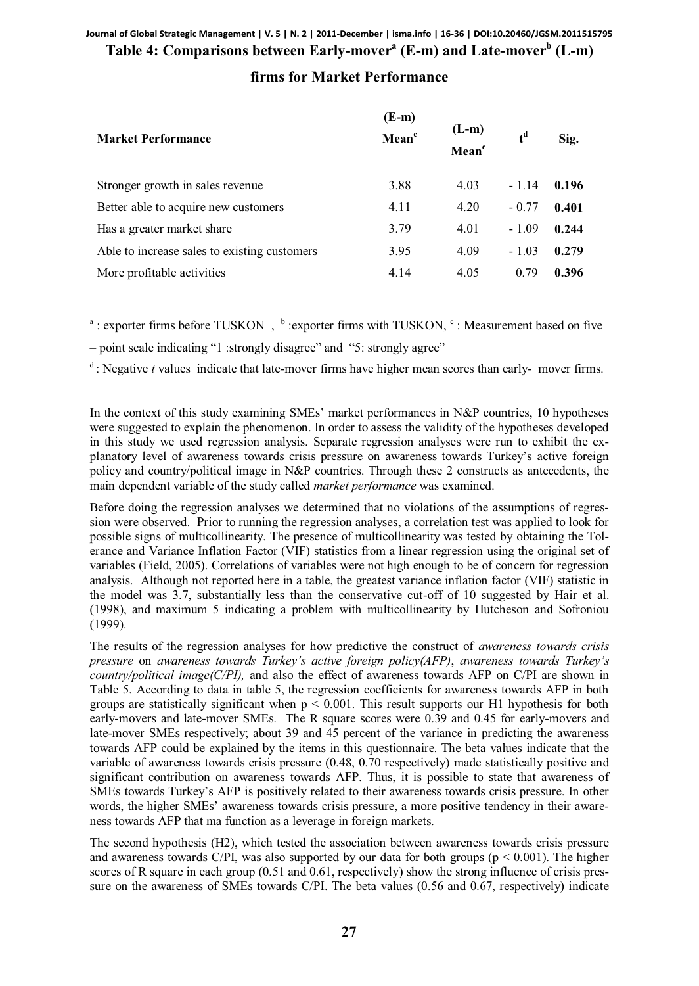## Table 4: Comparisons between Early-mover<sup>a</sup> (E-m) and Late-mover<sup>b</sup> (L-m) **Journal of Global Strategic Management | V. 5 | N. 2 | 2011-December | isma.info | 16-36 | DOI:10.20460/JGSM.2011515795**

| <b>Market Performance</b>                    | $(E-m)$<br>Mean <sup>c</sup> | $(L-m)$<br>Mean <sup>c</sup> | $t^d$   | Sig.  |
|----------------------------------------------|------------------------------|------------------------------|---------|-------|
| Stronger growth in sales revenue             | 3.88                         | 4.03                         | $-1.14$ | 0.196 |
| Better able to acquire new customers         | 4.11                         | 4.20                         | $-0.77$ | 0.401 |
| Has a greater market share                   | 3.79                         | 4.01                         | $-1.09$ | 0.244 |
| Able to increase sales to existing customers | 3.95                         | 4.09                         | $-1.03$ | 0.279 |
| More profitable activities                   | 4.14                         | 4.05                         | 0.79    | 0.396 |

## **firms for Market Performance**

 $a$ : exporter firms before TUSKON,  $b$ : exporter firms with TUSKON,  $c$ : Measurement based on five

– point scale indicating "1 :strongly disagree" and "5: strongly agree"

<sup>d</sup>: Negative *t* values indicate that late-mover firms have higher mean scores than early- mover firms.

In the context of this study examining SMEs' market performances in N&P countries, 10 hypotheses were suggested to explain the phenomenon. In order to assess the validity of the hypotheses developed in this study we used regression analysis. Separate regression analyses were run to exhibit the explanatory level of awareness towards crisis pressure on awareness towards Turkey's active foreign policy and country/political image in N&P countries. Through these 2 constructs as antecedents, the main dependent variable of the study called *market performance* was examined.

Before doing the regression analyses we determined that no violations of the assumptions of regression were observed. Prior to running the regression analyses, a correlation test was applied to look for possible signs of multicollinearity. The presence of multicollinearity was tested by obtaining the Tolerance and Variance Inflation Factor (VIF) statistics from a linear regression using the original set of variables (Field, 2005). Correlations of variables were not high enough to be of concern for regression analysis. Although not reported here in a table, the greatest variance inflation factor (VIF) statistic in the model was 3.7, substantially less than the conservative cut-off of 10 suggested by Hair et al. (1998), and maximum 5 indicating a problem with multicollinearity by Hutcheson and Sofroniou (1999).

The results of the regression analyses for how predictive the construct of *awareness towards crisis pressure* on *awareness towards Turkey's active foreign policy(AFP)*, *awareness towards Turkey's country/political image(C/PI),* and also the effect of awareness towards AFP on C/PI are shown in Table 5. According to data in table 5, the regression coefficients for awareness towards AFP in both groups are statistically significant when  $p < 0.001$ . This result supports our H1 hypothesis for both early-movers and late-mover SMEs. The R square scores were 0.39 and 0.45 for early-movers and late-mover SMEs respectively; about 39 and 45 percent of the variance in predicting the awareness towards AFP could be explained by the items in this questionnaire. The beta values indicate that the variable of awareness towards crisis pressure (0.48, 0.70 respectively) made statistically positive and significant contribution on awareness towards AFP. Thus, it is possible to state that awareness of SMEs towards Turkey's AFP is positively related to their awareness towards crisis pressure. In other words, the higher SMEs' awareness towards crisis pressure, a more positive tendency in their awareness towards AFP that ma function as a leverage in foreign markets.

The second hypothesis (H2), which tested the association between awareness towards crisis pressure and awareness towards C/PI, was also supported by our data for both groups ( $p < 0.001$ ). The higher scores of R square in each group (0.51 and 0.61, respectively) show the strong influence of crisis pressure on the awareness of SMEs towards C/PI. The beta values (0.56 and 0.67, respectively) indicate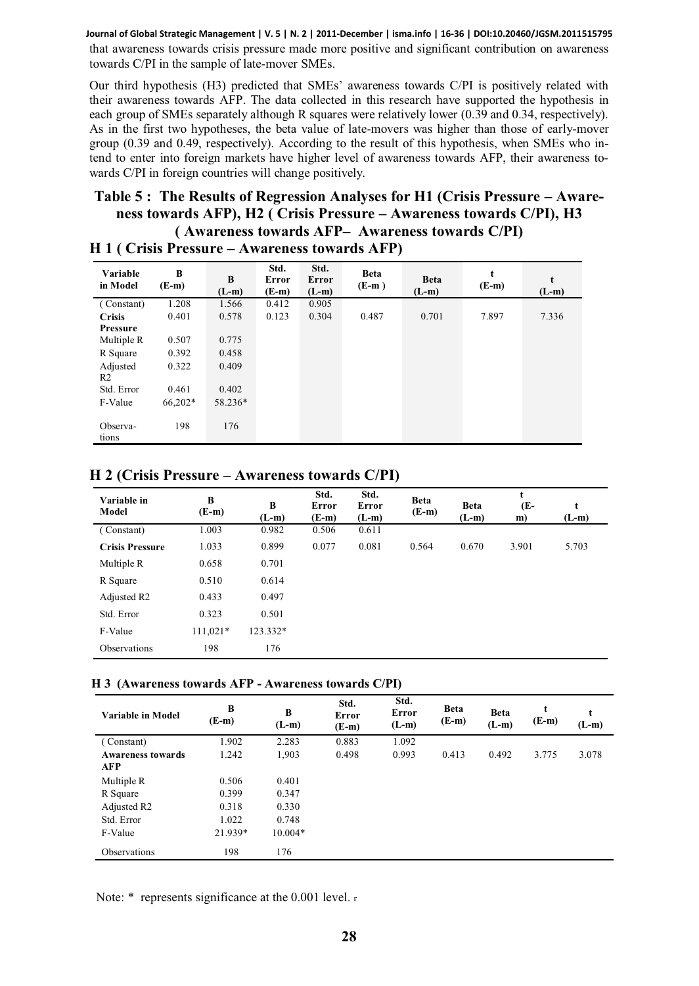that awareness towards crisis pressure made more positive and significant contribution on awareness towards C/PI in the sample of late-mover SMEs. **Journal of Global Strategic Management | V. 5 | N. 2 | 2011-December | isma.info | 16-36 | DOI:10.20460/JGSM.2011515795**

Our third hypothesis (H3) predicted that SMEs' awareness towards C/PI is positively related with their awareness towards AFP. The data collected in this research have supported the hypothesis in each group of SMEs separately although R squares were relatively lower (0.39 and 0.34, respectively). As in the first two hypotheses, the beta value of late-movers was higher than those of early-mover group (0.39 and 0.49, respectively). According to the result of this hypothesis, when SMEs who intend to enter into foreign markets have higher level of awareness towards AFP, their awareness towards C/PI in foreign countries will change positively.

# **Table 5 : The Results of Regression Analyses for H1 (Crisis Pressure – Awareness towards AFP), H2 ( Crisis Pressure – Awareness towards C/PI), H3 ( Awareness towards AFP– Awareness towards C/PI)**

| Variable<br>in Model       | B<br>$(E-m)$ | B<br>$(L-m)$ | Std.<br>Error<br>(E-m) | Std.<br>Error<br>$(L-m)$ | <b>Beta</b><br>$(E-m)$ | <b>Beta</b><br>$(L-m)$ | t<br>$(E-m)$ | t<br>$(L-m)$ |
|----------------------------|--------------|--------------|------------------------|--------------------------|------------------------|------------------------|--------------|--------------|
| (Constant)                 | 1.208        | 1.566        | 0.412                  | 0.905                    |                        |                        |              |              |
| <b>Crisis</b>              | 0.401        | 0.578        | 0.123                  | 0.304                    | 0.487                  | 0.701                  | 7.897        | 7.336        |
| <b>Pressure</b>            |              |              |                        |                          |                        |                        |              |              |
| Multiple R                 | 0.507        | 0.775        |                        |                          |                        |                        |              |              |
| R Square                   | 0.392        | 0.458        |                        |                          |                        |                        |              |              |
| Adjusted<br>R <sub>2</sub> | 0.322        | 0.409        |                        |                          |                        |                        |              |              |
| Std. Error                 | 0.461        | 0.402        |                        |                          |                        |                        |              |              |
| F-Value                    | 66.202*      | 58.236*      |                        |                          |                        |                        |              |              |
| Observa-<br>tions          | 198          | 176          |                        |                          |                        |                        |              |              |

#### **H 1 ( Crisis Pressure – Awareness towards AFP)**

#### **H 2 (Crisis Pressure – Awareness towards C/PI)**

| Variable in<br>Model   | B<br>$(E-m)$ | B<br>$(L-m)$ | Std.<br>Error<br>$(E-m)$ | Std.<br>Error<br>$(L-m)$ | <b>Beta</b><br>$(E-m)$ | <b>Beta</b><br>$(L-m)$ | t<br>(E-<br>m) | t<br>$(L-m)$ |
|------------------------|--------------|--------------|--------------------------|--------------------------|------------------------|------------------------|----------------|--------------|
| (Constant)             | 1.003        | 0.982        | 0.506                    | 0.611                    |                        |                        |                |              |
| <b>Crisis Pressure</b> | 1.033        | 0.899        | 0.077                    | 0.081                    | 0.564                  | 0.670                  | 3.901          | 5.703        |
| Multiple R             | 0.658        | 0.701        |                          |                          |                        |                        |                |              |
| R Square               | 0.510        | 0.614        |                          |                          |                        |                        |                |              |
| Adjusted R2            | 0.433        | 0.497        |                          |                          |                        |                        |                |              |
| Std. Error             | 0.323        | 0.501        |                          |                          |                        |                        |                |              |
| F-Value                | 111,021*     | 123.332*     |                          |                          |                        |                        |                |              |
| Observations           | 198          | 176          |                          |                          |                        |                        |                |              |

#### **H 3 (Awareness towards AFP - Awareness towards C/PI)**

| Variable in Model                      | B<br>$(E-m)$ | B<br>$(L-m)$ | Std.<br>Error<br>$(E-m)$ | Std.<br>Error<br>$(L-m)$ | <b>Beta</b><br>$(E-m)$ | <b>Beta</b><br>$(L-m)$ | t<br>$(E-m)$ | t<br>$(L-m)$ |
|----------------------------------------|--------------|--------------|--------------------------|--------------------------|------------------------|------------------------|--------------|--------------|
| (Constant)                             | 1.902        | 2.283        | 0.883                    | 1.092                    |                        |                        |              |              |
| <b>Awareness towards</b><br><b>AFP</b> | 1.242        | 1,903        | 0.498                    | 0.993                    | 0.413                  | 0.492                  | 3.775        | 3.078        |
| Multiple R                             | 0.506        | 0.401        |                          |                          |                        |                        |              |              |
| R Square                               | 0.399        | 0.347        |                          |                          |                        |                        |              |              |
| Adjusted R2                            | 0.318        | 0.330        |                          |                          |                        |                        |              |              |
| Std. Error                             | 1.022        | 0.748        |                          |                          |                        |                        |              |              |
| F-Value                                | 21.939*      | $10.004*$    |                          |                          |                        |                        |              |              |
| Observations                           | 198          | 176          |                          |                          |                        |                        |              |              |

Note: \* represents significance at the 0.001 level. r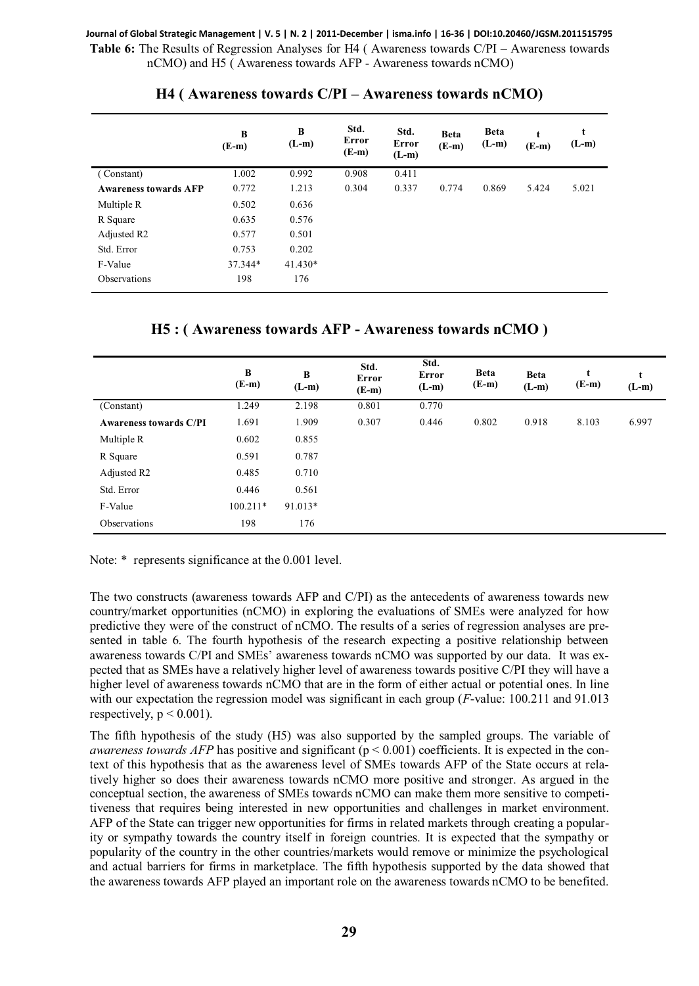**Table 6:** The Results of Regression Analyses for H4 ( Awareness towards C/PI – Awareness towards nCMO) and H5 ( Awareness towards AFP - Awareness towards nCMO) **Journal of Global Strategic Management | V. 5 | N. 2 | 2011-December | isma.info | 16-36 | DOI:10.20460/JGSM.2011515795**

|                              | B<br>$(E-m)$ | B<br>$(L-m)$ | Std.<br>Error<br>$(E-m)$ | Std.<br>Error<br>$(L-m)$ | <b>Beta</b><br>$(E-m)$ | <b>Beta</b><br>$(L-m)$ | t<br>$(E-m)$ | t<br>$(L-m)$ |
|------------------------------|--------------|--------------|--------------------------|--------------------------|------------------------|------------------------|--------------|--------------|
| (Constant)                   | 1.002        | 0.992        | 0.908                    | 0.411                    |                        |                        |              |              |
| <b>Awareness towards AFP</b> | 0.772        | 1.213        | 0.304                    | 0.337                    | 0.774                  | 0.869                  | 5.424        | 5.021        |
| Multiple R                   | 0.502        | 0.636        |                          |                          |                        |                        |              |              |
| R Square                     | 0.635        | 0.576        |                          |                          |                        |                        |              |              |
| Adjusted R2                  | 0.577        | 0.501        |                          |                          |                        |                        |              |              |
| Std. Error                   | 0.753        | 0.202        |                          |                          |                        |                        |              |              |
| F-Value                      | 37.344*      | $41.430*$    |                          |                          |                        |                        |              |              |
| Observations                 | 198          | 176          |                          |                          |                        |                        |              |              |

### **H4 ( Awareness towards C/PI – Awareness towards nCMO)**

## **H5 : ( Awareness towards AFP - Awareness towards nCMO )**

|                               | B<br>$(E-m)$ | B<br>$(L-m)$ | Std.<br>Error<br>$(E-m)$ | Std.<br>Error<br>$(L-m)$ | <b>Beta</b><br>$(E-m)$ | <b>Beta</b><br>$(L-m)$ | t<br>$(E-m)$ | t<br>$(L-m)$ |
|-------------------------------|--------------|--------------|--------------------------|--------------------------|------------------------|------------------------|--------------|--------------|
| (Constant)                    | 1.249        | 2.198        | 0.801                    | 0.770                    |                        |                        |              |              |
| <b>Awareness towards C/PI</b> | 1.691        | 1.909        | 0.307                    | 0.446                    | 0.802                  | 0.918                  | 8.103        | 6.997        |
| Multiple R                    | 0.602        | 0.855        |                          |                          |                        |                        |              |              |
| R Square                      | 0.591        | 0.787        |                          |                          |                        |                        |              |              |
| Adjusted R2                   | 0.485        | 0.710        |                          |                          |                        |                        |              |              |
| Std. Error                    | 0.446        | 0.561        |                          |                          |                        |                        |              |              |
| F-Value                       | $100.211*$   | 91.013*      |                          |                          |                        |                        |              |              |
| Observations                  | 198          | 176          |                          |                          |                        |                        |              |              |

Note: \* represents significance at the 0.001 level.

The two constructs (awareness towards AFP and C/PI) as the antecedents of awareness towards new country/market opportunities (nCMO) in exploring the evaluations of SMEs were analyzed for how predictive they were of the construct of nCMO. The results of a series of regression analyses are presented in table 6. The fourth hypothesis of the research expecting a positive relationship between awareness towards C/PI and SMEs' awareness towards nCMO was supported by our data. It was expected that as SMEs have a relatively higher level of awareness towards positive C/PI they will have a higher level of awareness towards nCMO that are in the form of either actual or potential ones. In line with our expectation the regression model was significant in each group (*F*-value: 100.211 and 91.013 respectively,  $p < 0.001$ ).

The fifth hypothesis of the study (H5) was also supported by the sampled groups. The variable of *awareness towards AFP* has positive and significant  $(p < 0.001)$  coefficients. It is expected in the context of this hypothesis that as the awareness level of SMEs towards AFP of the State occurs at relatively higher so does their awareness towards nCMO more positive and stronger. As argued in the conceptual section, the awareness of SMEs towards nCMO can make them more sensitive to competitiveness that requires being interested in new opportunities and challenges in market environment. AFP of the State can trigger new opportunities for firms in related markets through creating a popularity or sympathy towards the country itself in foreign countries. It is expected that the sympathy or popularity of the country in the other countries/markets would remove or minimize the psychological and actual barriers for firms in marketplace. The fifth hypothesis supported by the data showed that the awareness towards AFP played an important role on the awareness towards nCMO to be benefited.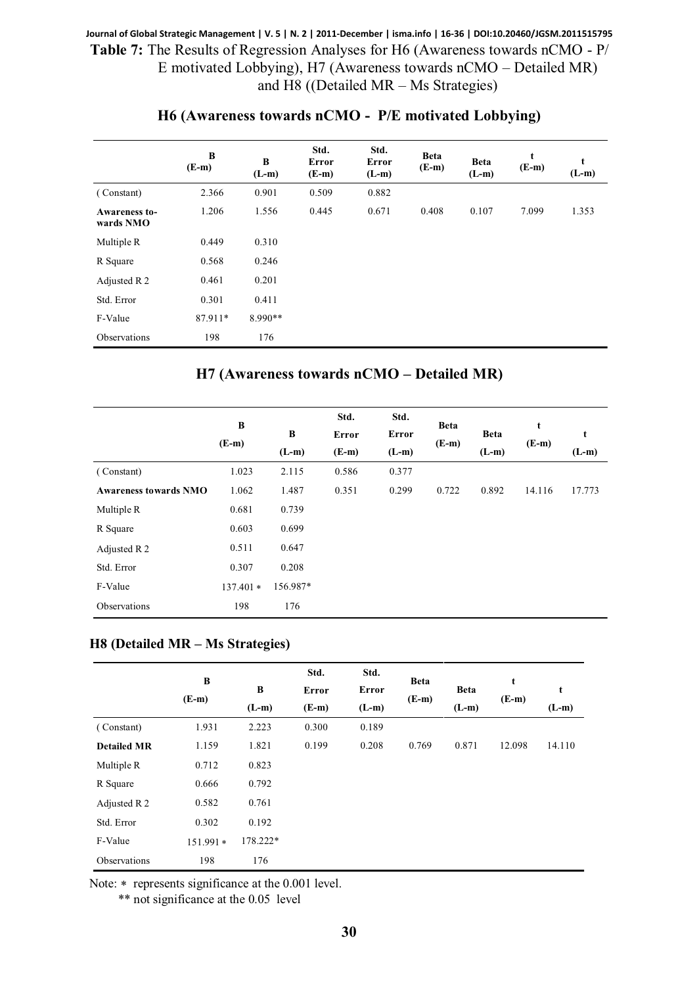**Table 7:** The Results of Regression Analyses for H6 (Awareness towards nCMO - P/ E motivated Lobbying), H7 (Awareness towards nCMO – Detailed MR) and H8 ((Detailed MR – Ms Strategies) **Journal of Global Strategic Management | V. 5 | N. 2 | 2011-December | isma.info | 16-36 | DOI:10.20460/JGSM.2011515795**

|                                   | B<br>$(E-m)$ | B<br>$(L-m)$ | Std.<br>Error<br>$(E-m)$ | Std.<br>Error<br>$(L-m)$ | <b>Beta</b><br>$(E-m)$ | <b>Beta</b><br>$(L-m)$ | t<br>$(E-m)$ | t<br>$(L-m)$ |
|-----------------------------------|--------------|--------------|--------------------------|--------------------------|------------------------|------------------------|--------------|--------------|
| (Constant)                        | 2.366        | 0.901        | 0.509                    | 0.882                    |                        |                        |              |              |
| <b>Awareness to-</b><br>wards NMO | 1.206        | 1.556        | 0.445                    | 0.671                    | 0.408                  | 0.107                  | 7.099        | 1.353        |
| Multiple R                        | 0.449        | 0.310        |                          |                          |                        |                        |              |              |
| R Square                          | 0.568        | 0.246        |                          |                          |                        |                        |              |              |
| Adjusted R 2                      | 0.461        | 0.201        |                          |                          |                        |                        |              |              |
| Std. Error                        | 0.301        | 0.411        |                          |                          |                        |                        |              |              |
| F-Value                           | 87.911*      | $8.990**$    |                          |                          |                        |                        |              |              |
| Observations                      | 198          | 176          |                          |                          |                        |                        |              |              |

# **H6 (Awareness towards nCMO - P/E motivated Lobbying)**

#### **H7 (Awareness towards nCMO – Detailed MR)**

|                              | B          |          | Std.    | Std.         | <b>Beta</b> |             | t       |         |
|------------------------------|------------|----------|---------|--------------|-------------|-------------|---------|---------|
|                              |            | B        | Error   | <b>Error</b> | $(E-m)$     | <b>Beta</b> | $(E-m)$ | t       |
|                              | $(E-m)$    | $(L-m)$  | $(E-m)$ | $(L-m)$      |             | $(L-m)$     |         | $(L-m)$ |
| (Constant)                   | 1.023      | 2.115    | 0.586   | 0.377        |             |             |         |         |
| <b>Awareness towards NMO</b> | 1.062      | 1.487    | 0.351   | 0.299        | 0.722       | 0.892       | 14.116  | 17.773  |
| Multiple R                   | 0.681      | 0.739    |         |              |             |             |         |         |
| R Square                     | 0.603      | 0.699    |         |              |             |             |         |         |
| Adjusted R 2                 | 0.511      | 0.647    |         |              |             |             |         |         |
| Std. Error                   | 0.307      | 0.208    |         |              |             |             |         |         |
| F-Value                      | $137.401*$ | 156.987* |         |              |             |             |         |         |
| Observations                 | 198        | 176      |         |              |             |             |         |         |

#### **H8 (Detailed MR – Ms Strategies)**

|                    | B<br>$(E-m)$ | B<br>$(L-m)$ | Std.<br>Error<br>$(E-m)$ | Std.<br>Error<br>$(L-m)$ | <b>Beta</b><br>$(E-m)$ | <b>Beta</b><br>$(L-m)$ | t<br>$(E-m)$ | t<br>$(L-m)$ |
|--------------------|--------------|--------------|--------------------------|--------------------------|------------------------|------------------------|--------------|--------------|
| (Constant)         | 1.931        | 2.223        | 0.300                    | 0.189                    |                        |                        |              |              |
| <b>Detailed MR</b> | 1.159        | 1.821        | 0.199                    | 0.208                    | 0.769                  | 0.871                  | 12.098       | 14.110       |
| Multiple R         | 0.712        | 0.823        |                          |                          |                        |                        |              |              |
| R Square           | 0.666        | 0.792        |                          |                          |                        |                        |              |              |
| Adjusted R 2       | 0.582        | 0.761        |                          |                          |                        |                        |              |              |
| Std. Error         | 0.302        | 0.192        |                          |                          |                        |                        |              |              |
| F-Value            | 151.991 *    | 178.222*     |                          |                          |                        |                        |              |              |
| Observations       | 198          | 176          |                          |                          |                        |                        |              |              |

Note:  $*$  represents significance at the 0.001 level.

\*\* not significance at the 0.05 level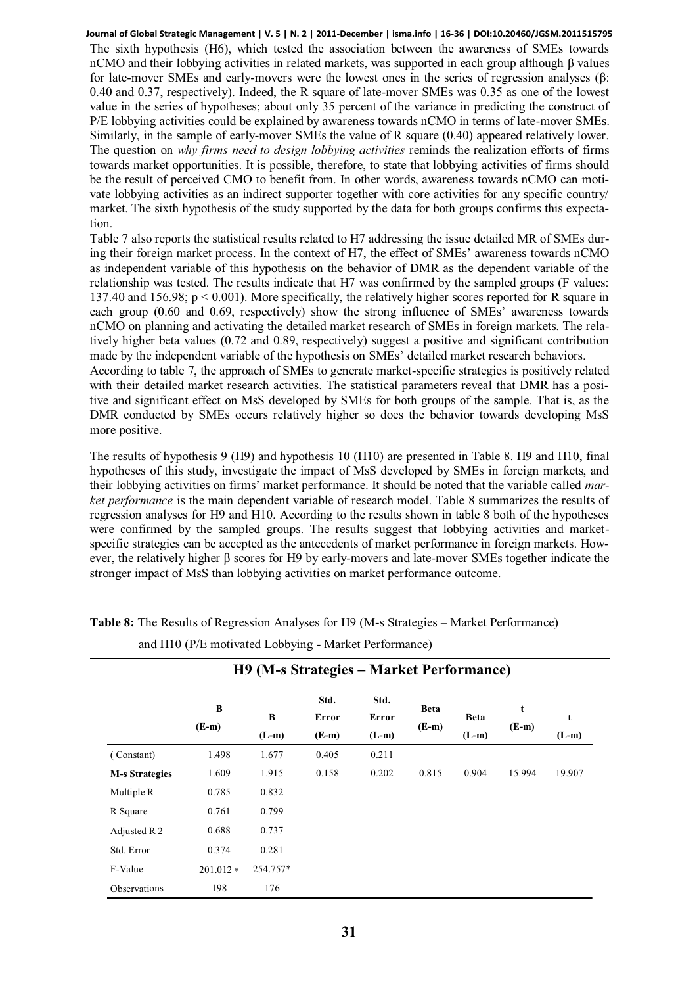The sixth hypothesis (H6), which tested the association between the awareness of SMEs towards nCMO and their lobbying activities in related markets, was supported in each group although β values for late-mover SMEs and early-movers were the lowest ones in the series of regression analyses (β: 0.40 and 0.37, respectively). Indeed, the R square of late-mover SMEs was 0.35 as one of the lowest value in the series of hypotheses; about only 35 percent of the variance in predicting the construct of P/E lobbying activities could be explained by awareness towards nCMO in terms of late-mover SMEs. Similarly, in the sample of early-mover SMEs the value of R square (0.40) appeared relatively lower. The question on *why firms need to design lobbying activities* reminds the realization efforts of firms towards market opportunities. It is possible, therefore, to state that lobbying activities of firms should be the result of perceived CMO to benefit from. In other words, awareness towards nCMO can motivate lobbying activities as an indirect supporter together with core activities for any specific country/ market. The sixth hypothesis of the study supported by the data for both groups confirms this expectation. **Journal of Global Strategic Management | V. 5 | N. 2 | 2011-December | isma.info | 16-36 | DOI:10.20460/JGSM.2011515795**

Table 7 also reports the statistical results related to H7 addressing the issue detailed MR of SMEs during their foreign market process. In the context of H7, the effect of SMEs' awareness towards nCMO as independent variable of this hypothesis on the behavior of DMR as the dependent variable of the relationship was tested. The results indicate that H7 was confirmed by the sampled groups (F values: 137.40 and 156.98; p < 0.001). More specifically, the relatively higher scores reported for R square in each group (0.60 and 0.69, respectively) show the strong influence of SMEs' awareness towards nCMO on planning and activating the detailed market research of SMEs in foreign markets. The relatively higher beta values (0.72 and 0.89, respectively) suggest a positive and significant contribution made by the independent variable of the hypothesis on SMEs' detailed market research behaviors. According to table 7, the approach of SMEs to generate market-specific strategies is positively related with their detailed market research activities. The statistical parameters reveal that DMR has a positive and significant effect on MsS developed by SMEs for both groups of the sample. That is, as the DMR conducted by SMEs occurs relatively higher so does the behavior towards developing MsS more positive.

The results of hypothesis 9 (H9) and hypothesis 10 (H10) are presented in Table 8. H9 and H10, final hypotheses of this study, investigate the impact of MsS developed by SMEs in foreign markets, and their lobbying activities on firms' market performance. It should be noted that the variable called *market performance* is the main dependent variable of research model. Table 8 summarizes the results of regression analyses for H9 and H10. According to the results shown in table 8 both of the hypotheses were confirmed by the sampled groups. The results suggest that lobbying activities and marketspecific strategies can be accepted as the antecedents of market performance in foreign markets. However, the relatively higher β scores for H9 by early-movers and late-mover SMEs together indicate the stronger impact of MsS than lobbying activities on market performance outcome.

|                       | H9 (M-s Strategies – Market Performance) |              |                          |                          |                        |                        |              |              |
|-----------------------|------------------------------------------|--------------|--------------------------|--------------------------|------------------------|------------------------|--------------|--------------|
|                       | B<br>$(E-m)$                             | B<br>$(L-m)$ | Std.<br>Error<br>$(E-m)$ | Std.<br>Error<br>$(L-m)$ | <b>Beta</b><br>$(E-m)$ | <b>Beta</b><br>$(L-m)$ | t<br>$(E-m)$ | t<br>$(L-m)$ |
| (Constant)            | 1.498                                    | 1.677        | 0.405                    | 0.211                    |                        |                        |              |              |
| <b>M-s Strategies</b> | 1.609                                    | 1.915        | 0.158                    | 0.202                    | 0.815                  | 0.904                  | 15.994       | 19.907       |
| Multiple R            | 0.785                                    | 0.832        |                          |                          |                        |                        |              |              |
| R Square              | 0.761                                    | 0.799        |                          |                          |                        |                        |              |              |
| Adjusted R 2          | 0.688                                    | 0.737        |                          |                          |                        |                        |              |              |
| Std. Error            | 0.374                                    | 0.281        |                          |                          |                        |                        |              |              |
| F-Value               | $201.012*$                               | 254.757*     |                          |                          |                        |                        |              |              |
| Observations          | 198                                      | 176          |                          |                          |                        |                        |              |              |

**Table 8:** The Results of Regression Analyses for H9 (M-s Strategies – Market Performance)

and H10 (P/E motivated Lobbying - Market Performance)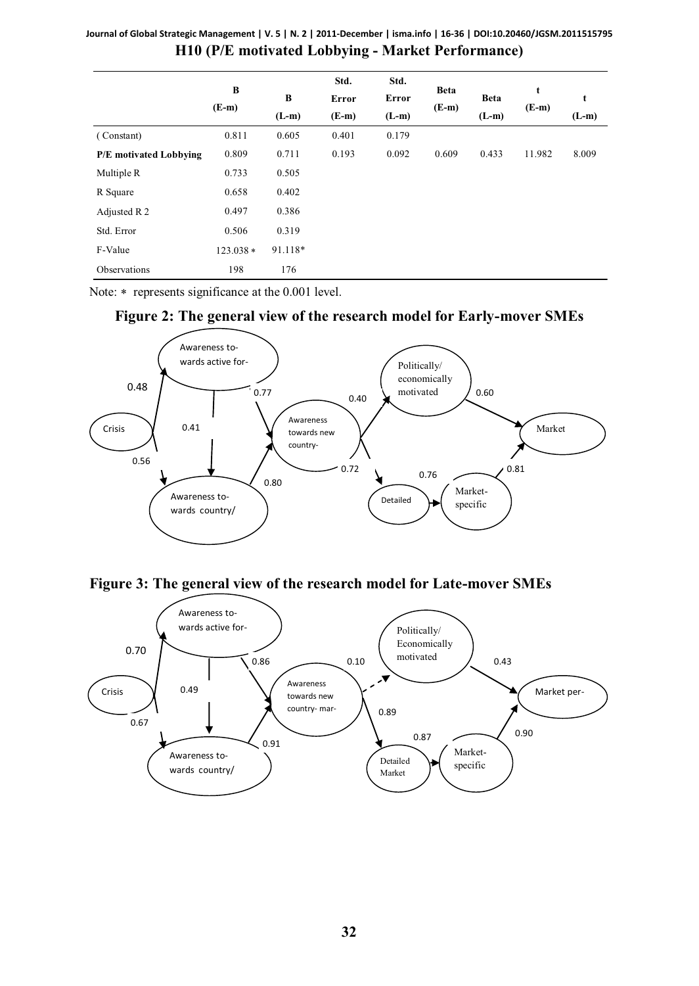#### **H10 (P/E motivated Lobbying - Market Performance) Journal of Global Strategic Management | V. 5 | N. 2 | 2011-December | isma.info | 16-36 | DOI:10.20460/JGSM.2011515795**

|                               | B          |         | Std.    | Std.    |                        |             |              |         |
|-------------------------------|------------|---------|---------|---------|------------------------|-------------|--------------|---------|
|                               | $(E-m)$    | B       | Error   | Error   | <b>Beta</b><br>$(E-m)$ | <b>Beta</b> | t<br>$(E-m)$ | t       |
|                               |            | $(L-m)$ | $(E-m)$ | $(L-m)$ |                        | $(L-m)$     |              | $(L-m)$ |
| (Constant)                    | 0.811      | 0.605   | 0.401   | 0.179   |                        |             |              |         |
| <b>P/E</b> motivated Lobbying | 0.809      | 0.711   | 0.193   | 0.092   | 0.609                  | 0.433       | 11.982       | 8.009   |
| Multiple R                    | 0.733      | 0.505   |         |         |                        |             |              |         |
| R Square                      | 0.658      | 0.402   |         |         |                        |             |              |         |
| Adjusted R 2                  | 0.497      | 0.386   |         |         |                        |             |              |         |
| Std. Error                    | 0.506      | 0.319   |         |         |                        |             |              |         |
| F-Value                       | $123.038*$ | 91.118* |         |         |                        |             |              |         |
| Observations                  | 198        | 176     |         |         |                        |             |              |         |

Note:  $*$  represents significance at the 0.001 level.

# **Figure 2: The general view of the research model for Early-mover SMEs**



**Figure 3: The general view of the research model for Late-mover SMEs** 

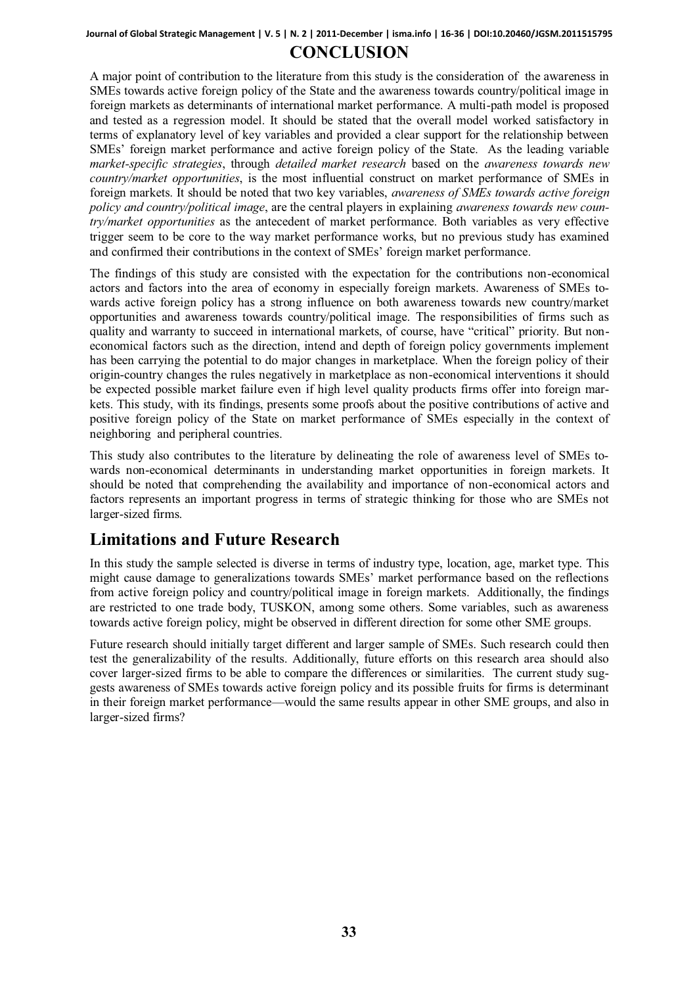**Journal of Global Strategic Management | V. 5 | N. 2 | 2011-December | isma.info | 16-36 | DOI:10.20460/JGSM.2011515795**

# **CONCLUSION**

A major point of contribution to the literature from this study is the consideration of the awareness in SMEs towards active foreign policy of the State and the awareness towards country/political image in foreign markets as determinants of international market performance. A multi-path model is proposed and tested as a regression model. It should be stated that the overall model worked satisfactory in terms of explanatory level of key variables and provided a clear support for the relationship between SMEs' foreign market performance and active foreign policy of the State. As the leading variable *market-specific strategies*, through *detailed market research* based on the *awareness towards new country/market opportunities*, is the most influential construct on market performance of SMEs in foreign markets. It should be noted that two key variables, *awareness of SMEs towards active foreign policy and country/political image*, are the central players in explaining *awareness towards new country/market opportunities* as the antecedent of market performance. Both variables as very effective trigger seem to be core to the way market performance works, but no previous study has examined and confirmed their contributions in the context of SMEs' foreign market performance.

The findings of this study are consisted with the expectation for the contributions non-economical actors and factors into the area of economy in especially foreign markets. Awareness of SMEs towards active foreign policy has a strong influence on both awareness towards new country/market opportunities and awareness towards country/political image. The responsibilities of firms such as quality and warranty to succeed in international markets, of course, have "critical" priority. But noneconomical factors such as the direction, intend and depth of foreign policy governments implement has been carrying the potential to do major changes in marketplace. When the foreign policy of their origin-country changes the rules negatively in marketplace as non-economical interventions it should be expected possible market failure even if high level quality products firms offer into foreign markets. This study, with its findings, presents some proofs about the positive contributions of active and positive foreign policy of the State on market performance of SMEs especially in the context of neighboring and peripheral countries.

This study also contributes to the literature by delineating the role of awareness level of SMEs towards non-economical determinants in understanding market opportunities in foreign markets. It should be noted that comprehending the availability and importance of non-economical actors and factors represents an important progress in terms of strategic thinking for those who are SMEs not larger-sized firms.

# **Limitations and Future Research**

In this study the sample selected is diverse in terms of industry type, location, age, market type. This might cause damage to generalizations towards SMEs' market performance based on the reflections from active foreign policy and country/political image in foreign markets. Additionally, the findings are restricted to one trade body, TUSKON, among some others. Some variables, such as awareness towards active foreign policy, might be observed in different direction for some other SME groups.

Future research should initially target different and larger sample of SMEs. Such research could then test the generalizability of the results. Additionally, future efforts on this research area should also cover larger-sized firms to be able to compare the differences or similarities. The current study suggests awareness of SMEs towards active foreign policy and its possible fruits for firms is determinant in their foreign market performance—would the same results appear in other SME groups, and also in larger-sized firms?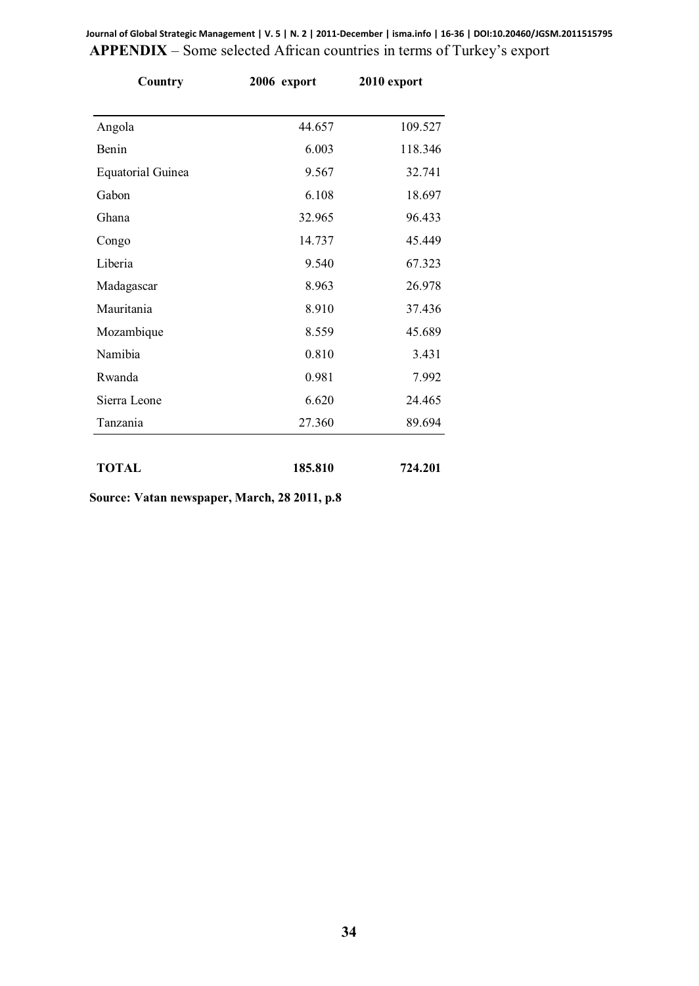| Country                  | 2006 export | 2010 export |
|--------------------------|-------------|-------------|
| Angola                   | 44.657      | 109.527     |
| Benin                    | 6.003       | 118.346     |
| <b>Equatorial Guinea</b> | 9.567       | 32.741      |
| Gabon                    | 6.108       | 18.697      |
| Ghana                    | 32.965      | 96.433      |
| Congo                    | 14.737      | 45.449      |
| Liberia                  | 9.540       | 67.323      |
| Madagascar               | 8.963       | 26.978      |
| Mauritania               | 8.910       | 37.436      |
| Mozambique               | 8.559       | 45.689      |
| Namibia                  | 0.810       | 3.431       |
| Rwanda                   | 0.981       | 7.992       |
| Sierra Leone             | 6.620       | 24.465      |
| Tanzania                 | 27.360      | 89.694      |
| <b>TOTAL</b>             | 185.810     | 724.201     |

**APPENDIX** – Some selected African countries in terms of Turkey's export **Journal of Global Strategic Management | V. 5 | N. 2 | 2011-December | isma.info | 16-36 | DOI:10.20460/JGSM.2011515795**

**Source: Vatan newspaper, March, 28 2011, p.8**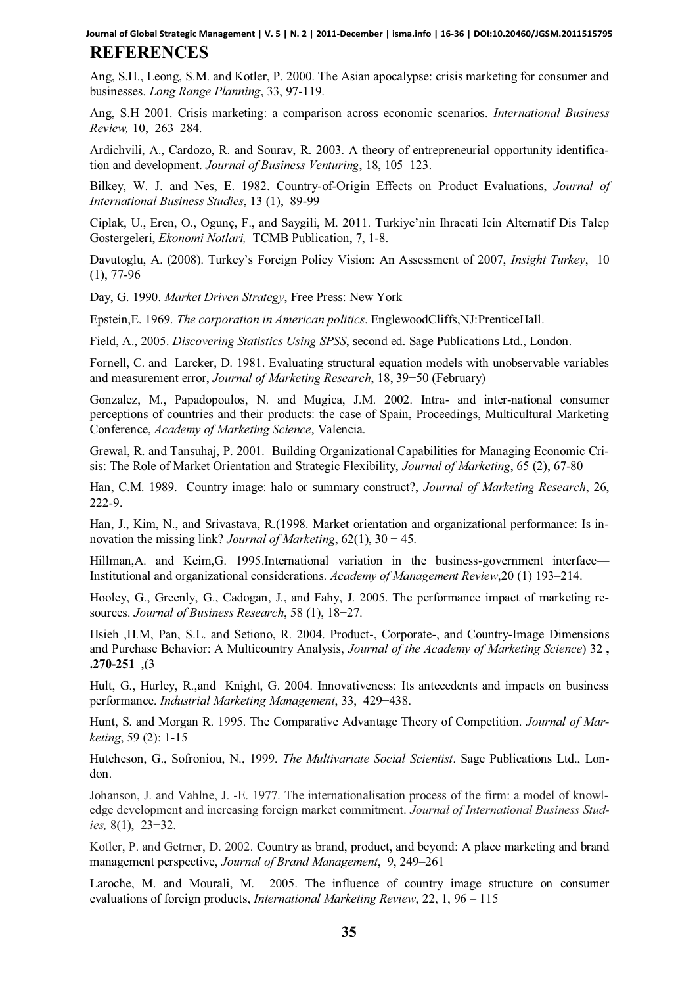**REFERENCES Journal of Global Strategic Management | V. 5 | N. 2 | 2011-December | isma.info | 16-36 | DOI:10.20460/JGSM.2011515795**

Ang, S.H., Leong, S.M. and Kotler, P. 2000. The Asian apocalypse: crisis marketing for consumer and businesses. *Long Range Planning*, 33, 97-119.

Ang, S.H 2001. Crisis marketing: a comparison across economic scenarios. *International Business Review,* 10, 263–284.

Ardichvili, A., Cardozo, R. and Sourav, R. 2003. A theory of entrepreneurial opportunity identification and development. *Journal of Business Venturing*, 18, 105–123.

Bilkey, W. J. and Nes, E. 1982. Country-of-Origin Effects on Product Evaluations, *Journal of International Business Studies*, 13 (1), 89-99

Ciplak, U., Eren, O., Ogunç, F., and Saygili, M. 2011. Turkiye'nin Ihracati Icin Alternatif Dis Talep Gostergeleri, *Ekonomi Notlari,* TCMB Publication, 7, 1-8.

Davutoglu, A. (2008). Turkey's Foreign Policy Vision: An Assessment of 2007, *Insight Turkey*, 10 (1), 77-96

Day, G. 1990. *Market Driven Strategy*, Free Press: New York

Epstein,E. 1969. *The corporation in American politics*. EnglewoodCliffs,NJ:PrenticeHall.

Field, A., 2005. *Discovering Statistics Using SPSS*, second ed. Sage Publications Ltd., London.

Fornell, C. and Larcker, D. 1981. Evaluating structural equation models with unobservable variables and measurement error, *Journal of Marketing Research*, 18, 39−50 (February)

Gonzalez, M., Papadopoulos, N. and Mugica, J.M. 2002. Intra- and inter-national consumer perceptions of countries and their products: the case of Spain, Proceedings, Multicultural Marketing Conference, *Academy of Marketing Science*, Valencia.

Grewal, R. and Tansuhaj, P. 2001. Building Organizational Capabilities for Managing Economic Crisis: The Role of Market Orientation and Strategic Flexibility, *Journal of Marketing*, 65 (2), 67-80

Han, C.M. 1989. Country image: halo or summary construct?, *Journal of Marketing Research*, 26, 222-9.

Han, J., Kim, N., and Srivastava, R.(1998. Market orientation and organizational performance: Is innovation the missing link? *Journal of Marketing*, 62(1), 30 − 45.

Hillman,A. and Keim,G. 1995.International variation in the business-government interface— Institutional and organizational considerations. *Academy of Management Review*,20 (1) 193–214.

Hooley, G., Greenly, G., Cadogan, J., and Fahy, J. 2005. The performance impact of marketing resources. *Journal of Business Research*, 58 (1), 18−27.

Hsieh ,H.M, Pan, S.L. and Setiono, R. 2004. Product-, Corporate-, and Country-Image Dimensions and Purchase Behavior: A Multicountry Analysis, *Journal of the Academy of Marketing Science* 32 ) **, 251-270.** ,(3

Hult, G., Hurley, R.,and Knight, G. 2004. Innovativeness: Its antecedents and impacts on business performance. *Industrial Marketing Management*, 33, 429−438.

Hunt, S. and Morgan R. 1995. The Comparative Advantage Theory of Competition. *Journal of Marketing*, 59 (2): 1-15

Hutcheson, G., Sofroniou, N., 1999. *The Multivariate Social Scientist*. Sage Publications Ltd., London.

Johanson, J. and Vahlne, J. -E. 1977. The internationalisation process of the firm: a model of knowledge development and increasing foreign market commitment. *Journal of International Business Studies,* 8(1), 23−32.

Kotler, P. and Getrner, D. 2002. Country as brand, product, and beyond: A place marketing and brand management perspective, *Journal of Brand Management*, 9, 249–261

Laroche, M. and Mourali, M. 2005. The influence of country image structure on consumer evaluations of foreign products, *International Marketing Review*, 22, 1, 96 – 115